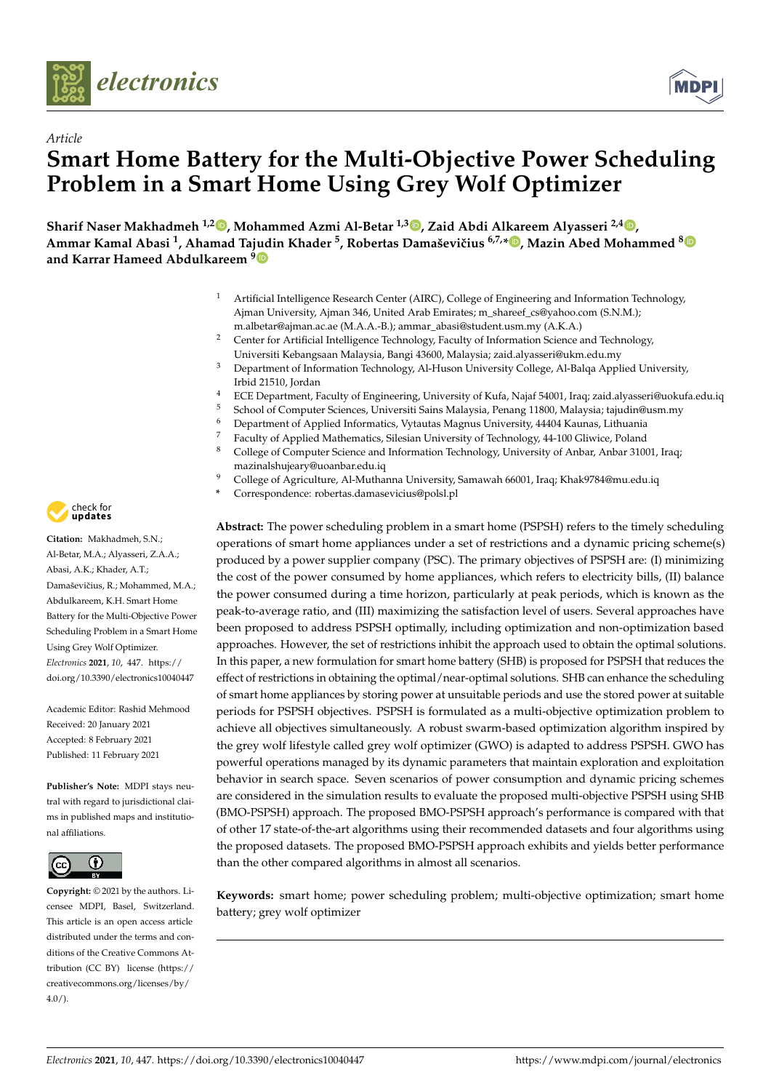

*Article*



# **Smart Home Battery for the Multi-Objective Power Scheduling Problem in a Smart Home Using Grey Wolf Optimizer**

**Sharif Naser Makhadmeh 1,2 , Mohammed Azmi Al-Betar 1,3 , Zaid Abdi Alkareem Alyasseri 2,4 , Ammar Kamal Abasi <sup>1</sup> , Ahamad Tajudin Khader <sup>5</sup> , Robertas Damaševiˇcius 6,7,\* , Mazin Abed Mohammed <sup>8</sup> and Karrar Hameed Abdulkareem <sup>9</sup>**

- <sup>1</sup> Artificial Intelligence Research Center (AIRC), College of Engineering and Information Technology, Ajman University, Ajman 346, United Arab Emirates; m\_shareef\_cs@yahoo.com (S.N.M.); m.albetar@ajman.ac.ae (M.A.A.-B.); ammar\_abasi@student.usm.my (A.K.A.)
- <sup>2</sup> Center for Artificial Intelligence Technology, Faculty of Information Science and Technology, Universiti Kebangsaan Malaysia, Bangi 43600, Malaysia; zaid.alyasseri@ukm.edu.my
- <sup>3</sup> Department of Information Technology, Al-Huson University College, Al-Balqa Applied University, Irbid 21510, Jordan
- <sup>4</sup> ECE Department, Faculty of Engineering, University of Kufa, Najaf 54001, Iraq; zaid.alyasseri@uokufa.edu.iq
- <sup>5</sup> School of Computer Sciences, Universiti Sains Malaysia, Penang 11800, Malaysia; tajudin@usm.my
- <sup>6</sup> Department of Applied Informatics, Vytautas Magnus University, 44404 Kaunas, Lithuania
- <sup>7</sup> Faculty of Applied Mathematics, Silesian University of Technology, 44-100 Gliwice, Poland<br><sup>8</sup> Collogy of Computer Science and Information Technology, University of Appen Appen 2100
- <sup>8</sup> College of Computer Science and Information Technology, University of Anbar, Anbar 31001, Iraq; mazinalshujeary@uoanbar.edu.iq
- <sup>9</sup> College of Agriculture, Al-Muthanna University, Samawah 66001, Iraq; Khak9784@mu.edu.iq
- **\*** Correspondence: robertas.damasevicius@polsl.pl

**Abstract:** The power scheduling problem in a smart home (PSPSH) refers to the timely scheduling operations of smart home appliances under a set of restrictions and a dynamic pricing scheme(s) produced by a power supplier company (PSC). The primary objectives of PSPSH are: (I) minimizing the cost of the power consumed by home appliances, which refers to electricity bills, (II) balance the power consumed during a time horizon, particularly at peak periods, which is known as the peak-to-average ratio, and (III) maximizing the satisfaction level of users. Several approaches have been proposed to address PSPSH optimally, including optimization and non-optimization based approaches. However, the set of restrictions inhibit the approach used to obtain the optimal solutions. In this paper, a new formulation for smart home battery (SHB) is proposed for PSPSH that reduces the effect of restrictions in obtaining the optimal/near-optimal solutions. SHB can enhance the scheduling of smart home appliances by storing power at unsuitable periods and use the stored power at suitable periods for PSPSH objectives. PSPSH is formulated as a multi-objective optimization problem to achieve all objectives simultaneously. A robust swarm-based optimization algorithm inspired by the grey wolf lifestyle called grey wolf optimizer (GWO) is adapted to address PSPSH. GWO has powerful operations managed by its dynamic parameters that maintain exploration and exploitation behavior in search space. Seven scenarios of power consumption and dynamic pricing schemes are considered in the simulation results to evaluate the proposed multi-objective PSPSH using SHB (BMO-PSPSH) approach. The proposed BMO-PSPSH approach's performance is compared with that of other 17 state-of-the-art algorithms using their recommended datasets and four algorithms using the proposed datasets. The proposed BMO-PSPSH approach exhibits and yields better performance than the other compared algorithms in almost all scenarios.

**Keywords:** smart home; power scheduling problem; multi-objective optimization; smart home battery; grey wolf optimizer



**Citation:** Makhadmeh, S.N.; Al-Betar, M.A.; Alyasseri, Z.A.A.; Abasi, A.K.; Khader, A.T.; Damaševičius, R.; Mohammed, M.A.; Abdulkareem, K.H. Smart Home Battery for the Multi-Objective Power Scheduling Problem in a Smart Home Using Grey Wolf Optimizer. *Electronics* **2021**, *10*, 447. https:// doi.org/10.3390/electronics10040447

Academic Editor: Rashid Mehmood Received: 20 January 2021 Accepted: 8 February 2021 Published: 11 February 2021

**Publisher's Note:** MDPI stays neutral with regard to jurisdictional claims in published maps and institutional affiliations.



**Copyright:** © 2021 by the authors. Licensee MDPI, Basel, Switzerland. This article is an open access article distributed under the terms and conditions of the Creative Commons Attribution (CC BY) license (https:// creativecommons.org/licenses/by/  $4.0/$ ).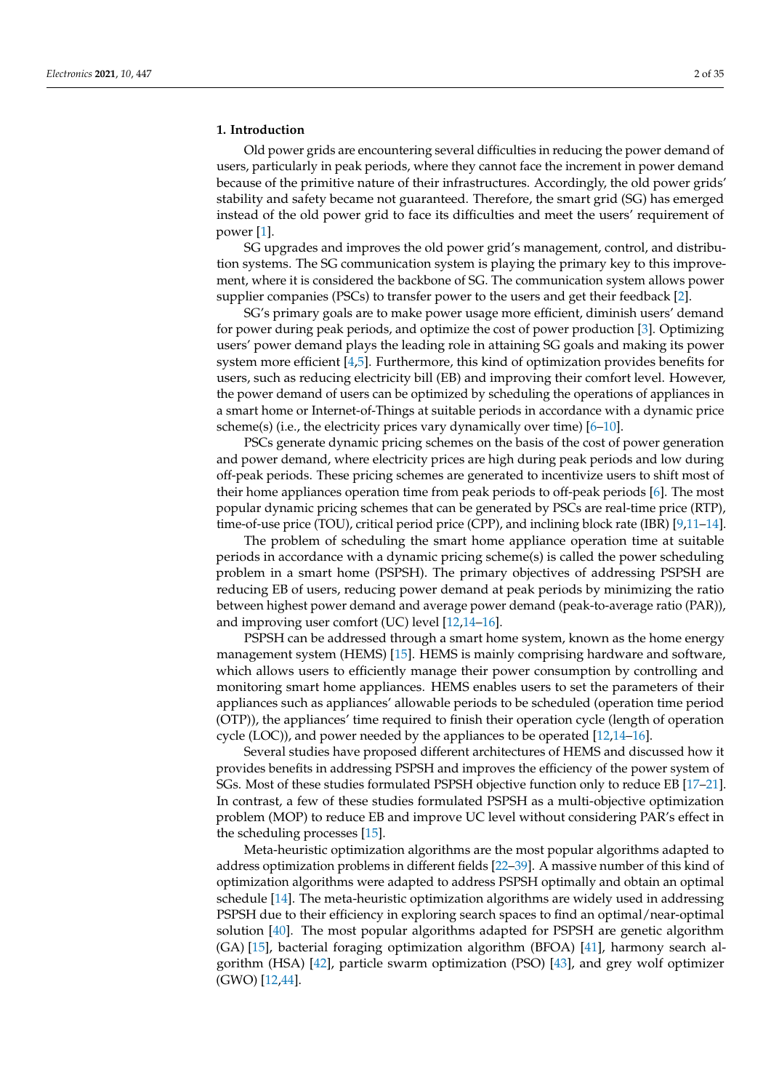#### **1. Introduction**

Old power grids are encountering several difficulties in reducing the power demand of users, particularly in peak periods, where they cannot face the increment in power demand because of the primitive nature of their infrastructures. Accordingly, the old power grids' stability and safety became not guaranteed. Therefore, the smart grid (SG) has emerged instead of the old power grid to face its difficulties and meet the users' requirement of power [1].

SG upgrades and improves the old power grid's management, control, and distribution systems. The SG communication system is playing the primary key to this improvement, where it is considered the backbone of SG. The communication system allows power supplier companies (PSCs) to transfer power to the users and get their feedback [2].

SG's primary goals are to make power usage more efficient, diminish users' demand for power during peak periods, and optimize the cost of power production [3]. Optimizing users' power demand plays the leading role in attaining SG goals and making its power system more efficient [4,5]. Furthermore, this kind of optimization provides benefits for users, such as reducing electricity bill (EB) and improving their comfort level. However, the power demand of users can be optimized by scheduling the operations of appliances in a smart home or Internet-of-Things at suitable periods in accordance with a dynamic price scheme(s) (i.e., the electricity prices vary dynamically over time)  $[6-10]$ .

PSCs generate dynamic pricing schemes on the basis of the cost of power generation and power demand, where electricity prices are high during peak periods and low during off-peak periods. These pricing schemes are generated to incentivize users to shift most of their home appliances operation time from peak periods to off-peak periods [6]. The most popular dynamic pricing schemes that can be generated by PSCs are real-time price (RTP), time-of-use price (TOU), critical period price (CPP), and inclining block rate (IBR) [9,11-14].

The problem of scheduling the smart home appliance operation time at suitable periods in accordance with a dynamic pricing scheme(s) is called the power scheduling problem in a smart home (PSPSH). The primary objectives of addressing PSPSH are reducing EB of users, reducing power demand at peak periods by minimizing the ratio between highest power demand and average power demand (peak-to-average ratio (PAR)), and improving user comfort (UC) level [12,14–16].

PSPSH can be addressed through a smart home system, known as the home energy management system (HEMS) [15]. HEMS is mainly comprising hardware and software, which allows users to efficiently manage their power consumption by controlling and monitoring smart home appliances. HEMS enables users to set the parameters of their appliances such as appliances' allowable periods to be scheduled (operation time period (OTP)), the appliances' time required to finish their operation cycle (length of operation cycle (LOC)), and power needed by the appliances to be operated [12,14–16].

Several studies have proposed different architectures of HEMS and discussed how it provides benefits in addressing PSPSH and improves the efficiency of the power system of SGs. Most of these studies formulated PSPSH objective function only to reduce EB [17–21]. In contrast, a few of these studies formulated PSPSH as a multi-objective optimization problem (MOP) to reduce EB and improve UC level without considering PAR's effect in the scheduling processes [15].

Meta-heuristic optimization algorithms are the most popular algorithms adapted to address optimization problems in different fields [22–39]. A massive number of this kind of optimization algorithms were adapted to address PSPSH optimally and obtain an optimal schedule [14]. The meta-heuristic optimization algorithms are widely used in addressing PSPSH due to their efficiency in exploring search spaces to find an optimal/near-optimal solution [40]. The most popular algorithms adapted for PSPSH are genetic algorithm (GA) [15], bacterial foraging optimization algorithm (BFOA) [41], harmony search algorithm (HSA) [42], particle swarm optimization (PSO) [43], and grey wolf optimizer (GWO) [12,44].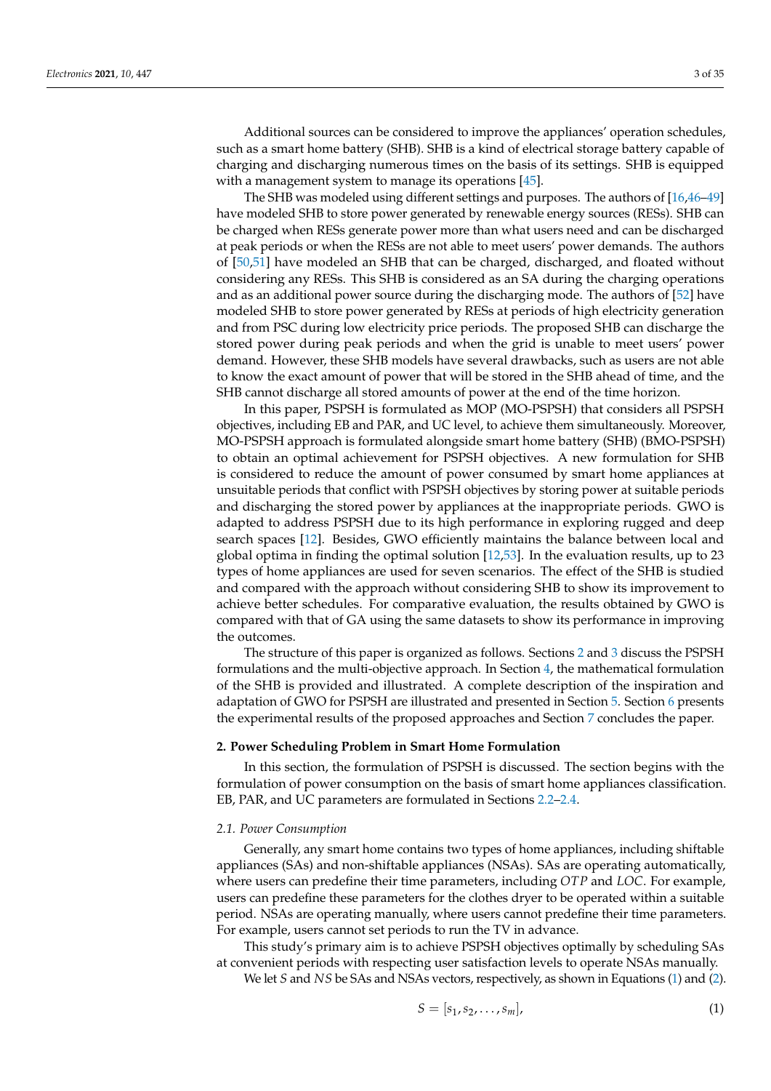Additional sources can be considered to improve the appliances' operation schedules, such as a smart home battery (SHB). SHB is a kind of electrical storage battery capable of charging and discharging numerous times on the basis of its settings. SHB is equipped with a management system to manage its operations  $[45]$ .

The SHB was modeled using different settings and purposes. The authors of [16,46–49] have modeled SHB to store power generated by renewable energy sources (RESs). SHB can be charged when RESs generate power more than what users need and can be discharged at peak periods or when the RESs are not able to meet users' power demands. The authors of [50,51] have modeled an SHB that can be charged, discharged, and floated without considering any RESs. This SHB is considered as an SA during the charging operations and as an additional power source during the discharging mode. The authors of [52] have modeled SHB to store power generated by RESs at periods of high electricity generation and from PSC during low electricity price periods. The proposed SHB can discharge the stored power during peak periods and when the grid is unable to meet users' power demand. However, these SHB models have several drawbacks, such as users are not able to know the exact amount of power that will be stored in the SHB ahead of time, and the SHB cannot discharge all stored amounts of power at the end of the time horizon.

In this paper, PSPSH is formulated as MOP (MO-PSPSH) that considers all PSPSH objectives, including EB and PAR, and UC level, to achieve them simultaneously. Moreover, MO-PSPSH approach is formulated alongside smart home battery (SHB) (BMO-PSPSH) to obtain an optimal achievement for PSPSH objectives. A new formulation for SHB is considered to reduce the amount of power consumed by smart home appliances at unsuitable periods that conflict with PSPSH objectives by storing power at suitable periods and discharging the stored power by appliances at the inappropriate periods. GWO is adapted to address PSPSH due to its high performance in exploring rugged and deep search spaces [12]. Besides, GWO efficiently maintains the balance between local and global optima in finding the optimal solution [12,53]. In the evaluation results, up to 23 types of home appliances are used for seven scenarios. The effect of the SHB is studied and compared with the approach without considering SHB to show its improvement to achieve better schedules. For comparative evaluation, the results obtained by GWO is compared with that of GA using the same datasets to show its performance in improving the outcomes.

The structure of this paper is organized as follows. Sections 2 and 3 discuss the PSPSH formulations and the multi-objective approach. In Section 4, the mathematical formulation of the SHB is provided and illustrated. A complete description of the inspiration and adaptation of GWO for PSPSH are illustrated and presented in Section 5. Section 6 presents the experimental results of the proposed approaches and Section 7 concludes the paper.

#### **2. Power Scheduling Problem in Smart Home Formulation**

In this section, the formulation of PSPSH is discussed. The section begins with the formulation of power consumption on the basis of smart home appliances classification. EB, PAR, and UC parameters are formulated in Sections 2.2–2.4.

## *2.1. Power Consumption*

Generally, any smart home contains two types of home appliances, including shiftable appliances (SAs) and non-shiftable appliances (NSAs). SAs are operating automatically, where users can predefine their time parameters, including *OTP* and *LOC*. For example, users can predefine these parameters for the clothes dryer to be operated within a suitable period. NSAs are operating manually, where users cannot predefine their time parameters. For example, users cannot set periods to run the TV in advance.

This study's primary aim is to achieve PSPSH objectives optimally by scheduling SAs at convenient periods with respecting user satisfaction levels to operate NSAs manually.

We let *S* and *NS* be SAs and NSAs vectors, respectively, as shown in Equations (1) and (2).

$$
S = [s_1, s_2, \dots, s_m], \tag{1}
$$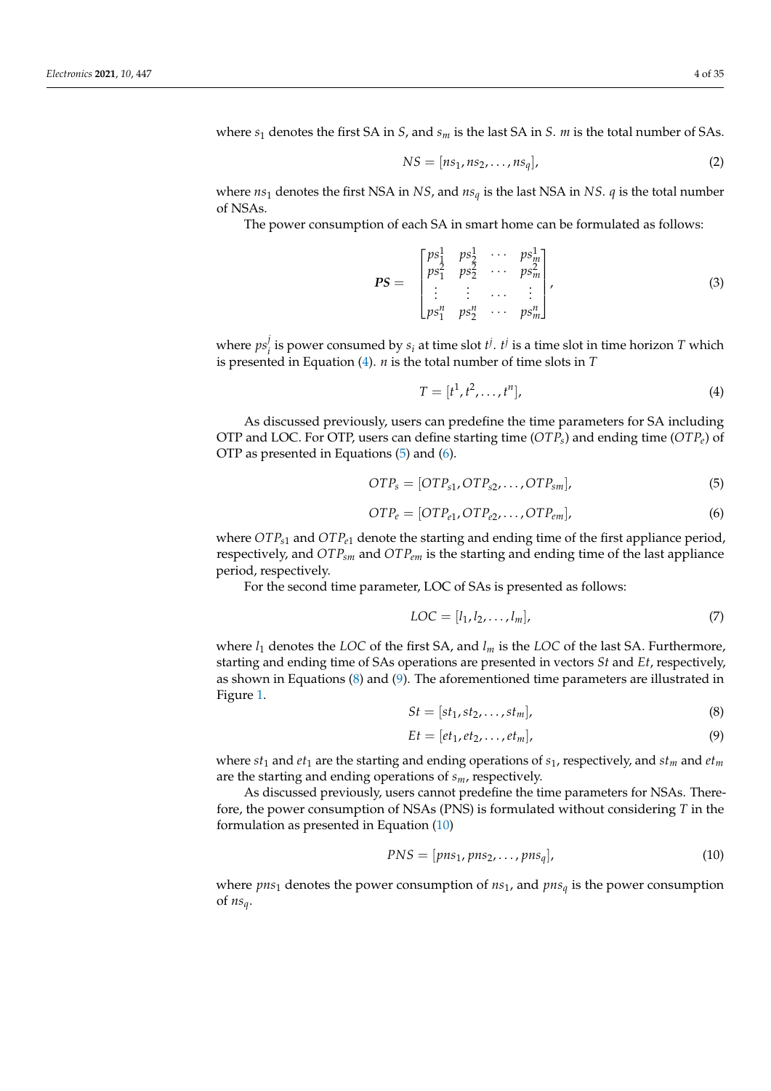where *s*<sup>1</sup> denotes the first SA in *S*, and *s<sup>m</sup>* is the last SA in *S*. *m* is the total number of SAs.

$$
NS = [ns1, ns2, ..., nsq],
$$
\n(2)

where *ns*<sup>1</sup> denotes the first NSA in *NS*, and *ns<sup>q</sup>* is the last NSA in *NS*. *q* is the total number of NSAs.

The power consumption of each SA in smart home can be formulated as follows:

$$
PS = \begin{bmatrix} ps_1^1 & ps_2^1 & \cdots & ps_m^1 \\ ps_1^2 & ps_2^2 & \cdots & ps_m^2 \\ \vdots & \vdots & \cdots & \vdots \\ ps_1^n & ps_2^n & \cdots & ps_m^n \end{bmatrix},
$$
(3)

where *ps j*  $i$ <sup> $j$ </sup> is power consumed by  $s_i$  at time slot  $t^j$ .  $t^j$  is a time slot in time horizon *T* which is presented in Equation (4). *n* is the total number of time slots in *T*

$$
T = [t1, t2, \dots, tn],
$$
\n
$$
(4)
$$

As discussed previously, users can predefine the time parameters for SA including OTP and LOC. For OTP, users can define starting time (*OTPs*) and ending time (*OTPe*) of OTP as presented in Equations (5) and (6).

$$
OTP_s = [OTP_{s1}, OTP_{s2}, \dots, OTP_{sm}],
$$
\n
$$
(5)
$$

$$
OTP_e = [OTP_{e1}, OTP_{e2}, \dots, OTP_{em}],
$$
\n(6)

where *OTPs*<sup>1</sup> and *OTPe*<sup>1</sup> denote the starting and ending time of the first appliance period, respectively, and *OTPsm* and *OTPem* is the starting and ending time of the last appliance period, respectively.

For the second time parameter, LOC of SAs is presented as follows:

$$
LOC = [l_1, l_2, \dots, l_m],
$$
\n<sup>(7)</sup>

where  $l_1$  denotes the *LOC* of the first SA, and  $l_m$  is the *LOC* of the last SA. Furthermore, starting and ending time of SAs operations are presented in vectors *St* and *Et*, respectively, as shown in Equations (8) and (9). The aforementioned time parameters are illustrated in Figure 1.

$$
St = [st_1, st_2, \dots, st_m],
$$
\n(8)

$$
Et = [et_1, et_2, \dots, et_m],
$$
\n(9)

where  $st_1$  and  $et_1$  are the starting and ending operations of  $s_1$ , respectively, and  $st_m$  and  $et_m$ are the starting and ending operations of *sm*, respectively.

As discussed previously, users cannot predefine the time parameters for NSAs. Therefore, the power consumption of NSAs (PNS) is formulated without considering *T* in the formulation as presented in Equation (10)

$$
PNS = [pns1, pns2, ..., pnsq],
$$
\n(10)

where *pns*<sup>1</sup> denotes the power consumption of *ns*1, and *pns<sup>q</sup>* is the power consumption of *nsq*.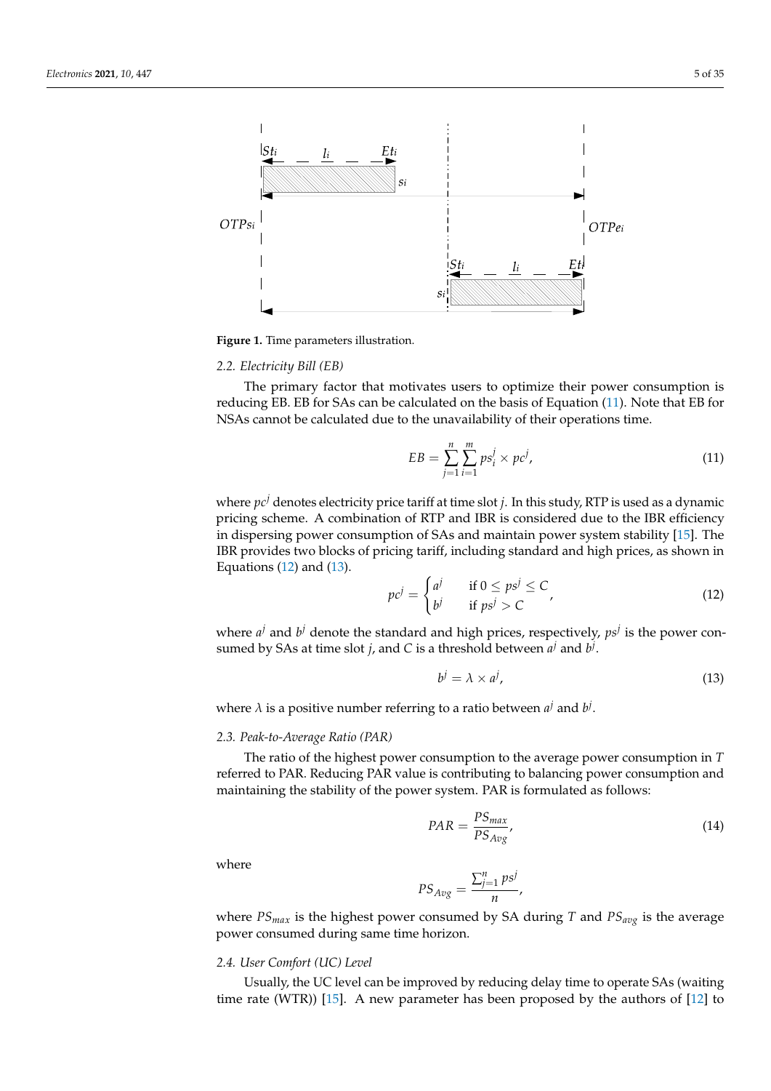

**Figure 1.** Time parameters illustration.

### *2.2. Electricity Bill (EB)*

The primary factor that motivates users to optimize their power consumption is reducing EB. EB for SAs can be calculated on the basis of Equation (11). Note that EB for NSAs cannot be calculated due to the unavailability of their operations time.

$$
EB = \sum_{j=1}^{n} \sum_{i=1}^{m} ps_i^j \times pc^j,
$$
\n(11)

where *pc<sup>j</sup>* denotes electricity price tariff at time slot *j*. In this study, RTP is used as a dynamic pricing scheme. A combination of RTP and IBR is considered due to the IBR efficiency in dispersing power consumption of SAs and maintain power system stability [15]. The IBR provides two blocks of pricing tariff, including standard and high prices, as shown in Equations  $(12)$  and  $(13)$ .

$$
pcj = \begin{cases} aj & \text{if } 0 \le psj \le C \\ bj & \text{if } psj > C \end{cases}
$$
 (12)

where  $a^j$  and  $b^j$  denote the standard and high prices, respectively,  $ps^j$  is the power consumed by SAs at time slot *j*, and *C* is a threshold between  $a^j$  and  $b^j$ .

$$
b^j = \lambda \times a^j,\tag{13}
$$

where  $\lambda$  is a positive number referring to a ratio between  $a^j$  and  $b^j$ .

#### *2.3. Peak-to-Average Ratio (PAR)*

The ratio of the highest power consumption to the average power consumption in *T* referred to PAR. Reducing PAR value is contributing to balancing power consumption and maintaining the stability of the power system. PAR is formulated as follows:

$$
PAR = \frac{PS_{max}}{PS_{Avg}}\tag{14}
$$

where

$$
PS_{Avg} = \frac{\sum_{j=1}^{n} ps^j}{n},
$$

where *PSmax* is the highest power consumed by SA during *T* and *PSavg* is the average power consumed during same time horizon.

#### *2.4. User Comfort (UC) Level*

Usually, the UC level can be improved by reducing delay time to operate SAs (waiting time rate (WTR)) [15]. A new parameter has been proposed by the authors of [12] to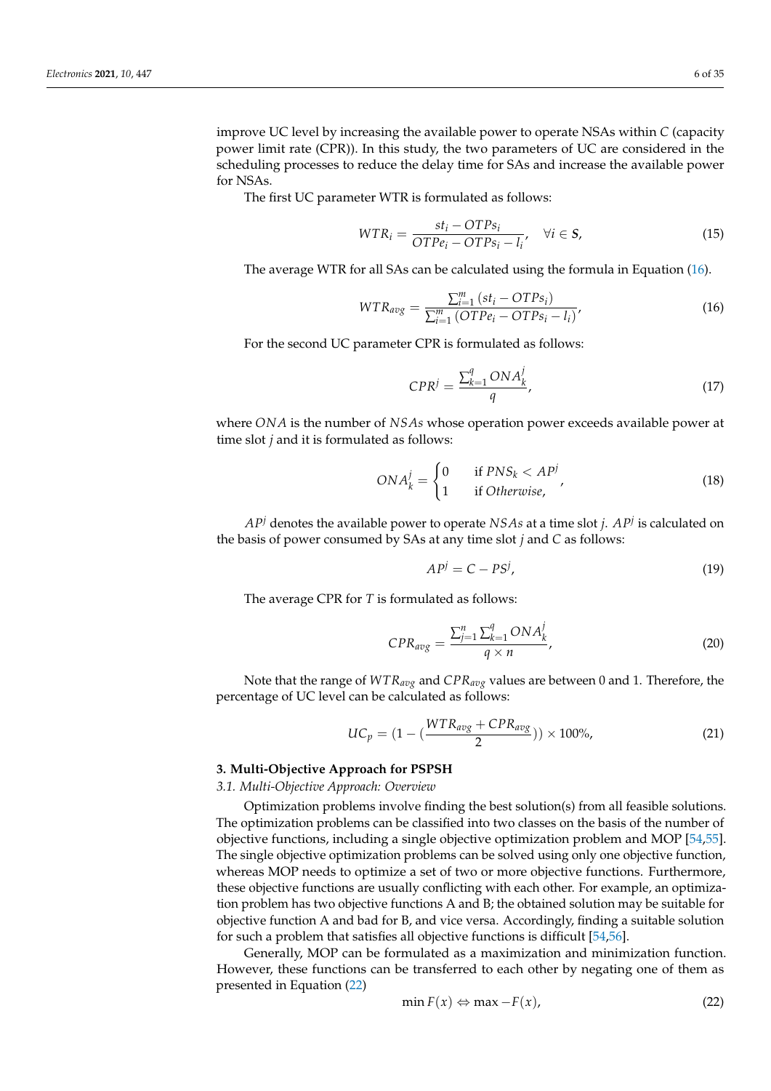improve UC level by increasing the available power to operate NSAs within *C* (capacity power limit rate (CPR)). In this study, the two parameters of UC are considered in the scheduling processes to reduce the delay time for SAs and increase the available power for NSAs.

The first UC parameter WTR is formulated as follows:

$$
WTR_i = \frac{st_i - OTPs_i}{OTPe_i - OTPs_i - l_i}, \quad \forall i \in S,
$$
\n(15)

The average WTR for all SAs can be calculated using the formula in Equation (16).

$$
WTR_{avg} = \frac{\sum_{i=1}^{m} (st_i - OTPs_i)}{\sum_{i=1}^{m} (OTPe_i - OTPs_i - l_i)},
$$
\n(16)

For the second UC parameter CPR is formulated as follows:

$$
CPR^j = \frac{\sum_{k=1}^q ONA_k^j}{q},\tag{17}
$$

where *ONA* is the number of *NSAs* whose operation power exceeds available power at time slot *j* and it is formulated as follows:

$$
ONAkj = \begin{cases} 0 & \text{if } PNS_k < APj \\ 1 & \text{if Otherwise,} \end{cases}
$$
 (18)

*AP<sup>j</sup>* denotes the available power to operate *NSAs* at a time slot *j*. *AP<sup>j</sup>* is calculated on the basis of power consumed by SAs at any time slot *j* and *C* as follows:

$$
APj = C - PSj,
$$
 (19)

The average CPR for *T* is formulated as follows:

$$
CPR_{avg} = \frac{\sum_{j=1}^{n} \sum_{k=1}^{q} ONA_k^j}{q \times n},
$$
\n(20)

Note that the range of *WTRavg* and *CPRavg* values are between 0 and 1. Therefore, the percentage of UC level can be calculated as follows:

$$
UC_p = (1 - (\frac{WTR_{avg} + CPR_{avg}}{2})) \times 100\%, \tag{21}
$$

#### **3. Multi-Objective Approach for PSPSH**

*3.1. Multi-Objective Approach: Overview*

Optimization problems involve finding the best solution(s) from all feasible solutions. The optimization problems can be classified into two classes on the basis of the number of objective functions, including a single objective optimization problem and MOP [54,55]. The single objective optimization problems can be solved using only one objective function, whereas MOP needs to optimize a set of two or more objective functions. Furthermore, these objective functions are usually conflicting with each other. For example, an optimization problem has two objective functions A and B; the obtained solution may be suitable for objective function A and bad for B, and vice versa. Accordingly, finding a suitable solution for such a problem that satisfies all objective functions is difficult [54,56].

Generally, MOP can be formulated as a maximization and minimization function. However, these functions can be transferred to each other by negating one of them as presented in Equation (22)

$$
\min F(x) \Leftrightarrow \max -F(x),\tag{22}
$$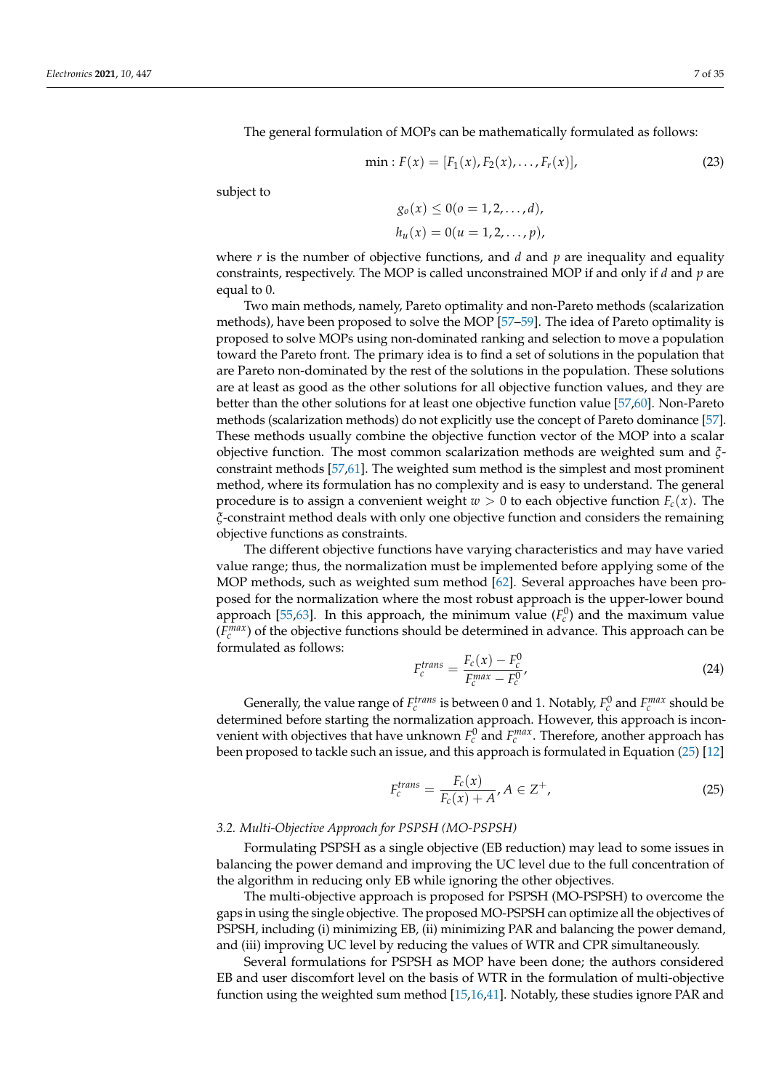The general formulation of MOPs can be mathematically formulated as follows:

$$
\min : F(x) = [F_1(x), F_2(x), \dots, F_r(x)], \tag{23}
$$

subject to

$$
g_o(x) \le 0 (o = 1, 2, ..., d),
$$
  
\n $h_u(x) = 0 (u = 1, 2, ..., p),$ 

where *r* is the number of objective functions, and *d* and *p* are inequality and equality constraints, respectively. The MOP is called unconstrained MOP if and only if *d* and *p* are equal to 0.

Two main methods, namely, Pareto optimality and non-Pareto methods (scalarization methods), have been proposed to solve the MOP [57–59]. The idea of Pareto optimality is proposed to solve MOPs using non-dominated ranking and selection to move a population toward the Pareto front. The primary idea is to find a set of solutions in the population that are Pareto non-dominated by the rest of the solutions in the population. These solutions are at least as good as the other solutions for all objective function values, and they are better than the other solutions for at least one objective function value [57,60]. Non-Pareto methods (scalarization methods) do not explicitly use the concept of Pareto dominance [57]. These methods usually combine the objective function vector of the MOP into a scalar objective function. The most common scalarization methods are weighted sum and *ξ*constraint methods [57,61]. The weighted sum method is the simplest and most prominent method, where its formulation has no complexity and is easy to understand. The general procedure is to assign a convenient weight  $w > 0$  to each objective function  $F_c(x)$ . The *ξ*-constraint method deals with only one objective function and considers the remaining objective functions as constraints.

The different objective functions have varying characteristics and may have varied value range; thus, the normalization must be implemented before applying some of the MOP methods, such as weighted sum method [62]. Several approaches have been proposed for the normalization where the most robust approach is the upper-lower bound approach [55,63]. In this approach, the minimum value  $(F_c^0)$  and the maximum value  $(F_c^{max})$  of the objective functions should be determined in advance. This approach can be formulated as follows:

$$
F_c^{trans} = \frac{F_c(x) - F_c^0}{F_c^{max} - F_c^0},
$$
\n(24)

Generally, the value range of  $F_c^{trans}$  is between 0 and 1. Notably,  $F_c^0$  and  $F_c^{max}$  should be determined before starting the normalization approach. However, this approach is inconvenient with objectives that have unknown  $F_c^0$  and  $F_c^{max}$ . Therefore, another approach has been proposed to tackle such an issue, and this approach is formulated in Equation (25) [12]

$$
F_c^{trans} = \frac{F_c(x)}{F_c(x) + A}, A \in \mathbb{Z}^+, \tag{25}
$$

# *3.2. Multi-Objective Approach for PSPSH (MO-PSPSH)*

Formulating PSPSH as a single objective (EB reduction) may lead to some issues in balancing the power demand and improving the UC level due to the full concentration of the algorithm in reducing only EB while ignoring the other objectives.

The multi-objective approach is proposed for PSPSH (MO-PSPSH) to overcome the gaps in using the single objective. The proposed MO-PSPSH can optimize all the objectives of PSPSH, including (i) minimizing EB, (ii) minimizing PAR and balancing the power demand, and (iii) improving UC level by reducing the values of WTR and CPR simultaneously.

Several formulations for PSPSH as MOP have been done; the authors considered EB and user discomfort level on the basis of WTR in the formulation of multi-objective function using the weighted sum method [15,16,41]. Notably, these studies ignore PAR and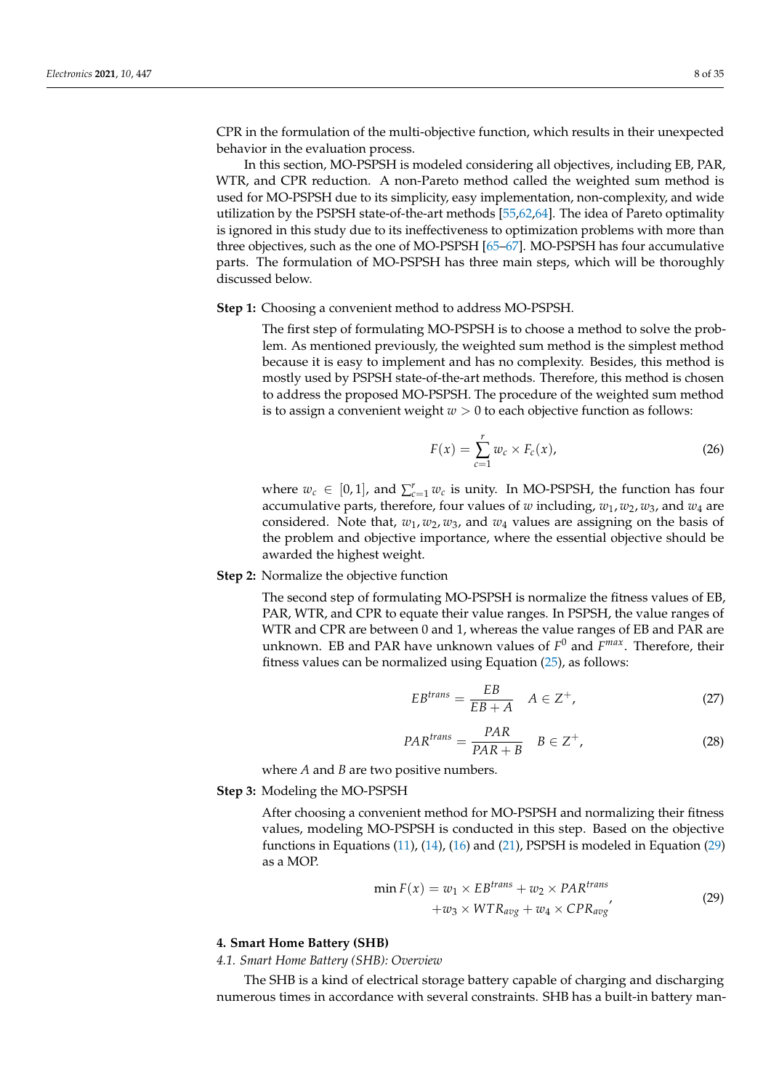CPR in the formulation of the multi-objective function, which results in their unexpected behavior in the evaluation process.

In this section, MO-PSPSH is modeled considering all objectives, including EB, PAR, WTR, and CPR reduction. A non-Pareto method called the weighted sum method is used for MO-PSPSH due to its simplicity, easy implementation, non-complexity, and wide utilization by the PSPSH state-of-the-art methods [55,62,64]. The idea of Pareto optimality is ignored in this study due to its ineffectiveness to optimization problems with more than three objectives, such as the one of MO-PSPSH [65–67]. MO-PSPSH has four accumulative parts. The formulation of MO-PSPSH has three main steps, which will be thoroughly discussed below.

**Step 1:** Choosing a convenient method to address MO-PSPSH.

The first step of formulating MO-PSPSH is to choose a method to solve the problem. As mentioned previously, the weighted sum method is the simplest method because it is easy to implement and has no complexity. Besides, this method is mostly used by PSPSH state-of-the-art methods. Therefore, this method is chosen to address the proposed MO-PSPSH. The procedure of the weighted sum method is to assign a convenient weight  $w > 0$  to each objective function as follows:

$$
F(x) = \sum_{c=1}^{r} w_c \times F_c(x), \qquad (26)
$$

where  $w_c \in [0,1]$ , and  $\sum_{c=1}^r w_c$  is unity. In MO-PSPSH, the function has four accumulative parts, therefore, four values of *w* including, *w*1, *w*2, *w*3, and *w*<sup>4</sup> are considered. Note that,  $w_1, w_2, w_3$ , and  $w_4$  values are assigning on the basis of the problem and objective importance, where the essential objective should be awarded the highest weight.

# **Step 2:** Normalize the objective function

The second step of formulating MO-PSPSH is normalize the fitness values of EB, PAR, WTR, and CPR to equate their value ranges. In PSPSH, the value ranges of WTR and CPR are between 0 and 1, whereas the value ranges of EB and PAR are unknown. EB and PAR have unknown values of *F* <sup>0</sup> and *F max*. Therefore, their fitness values can be normalized using Equation (25), as follows:

$$
EB^{trans} = \frac{EB}{EB + A} \quad A \in Z^{+}, \tag{27}
$$

$$
PAR^{trans} = \frac{PAR}{PAR + B} \quad B \in Z^{+}, \tag{28}
$$

where *A* and *B* are two positive numbers.

#### **Step 3:** Modeling the MO-PSPSH

After choosing a convenient method for MO-PSPSH and normalizing their fitness values, modeling MO-PSPSH is conducted in this step. Based on the objective functions in Equations  $(11)$ ,  $(14)$ ,  $(16)$  and  $(21)$ , PSPSH is modeled in Equation  $(29)$ as a MOP.

$$
\min F(x) = w_1 \times EB^{trans} + w_2 \times PAR^{trans} + w_3 \times WTR_{avg} + w_4 \times CPR_{avg'}
$$
\n(29)

# **4. Smart Home Battery (SHB)**

# *4.1. Smart Home Battery (SHB): Overview*

The SHB is a kind of electrical storage battery capable of charging and discharging numerous times in accordance with several constraints. SHB has a built-in battery man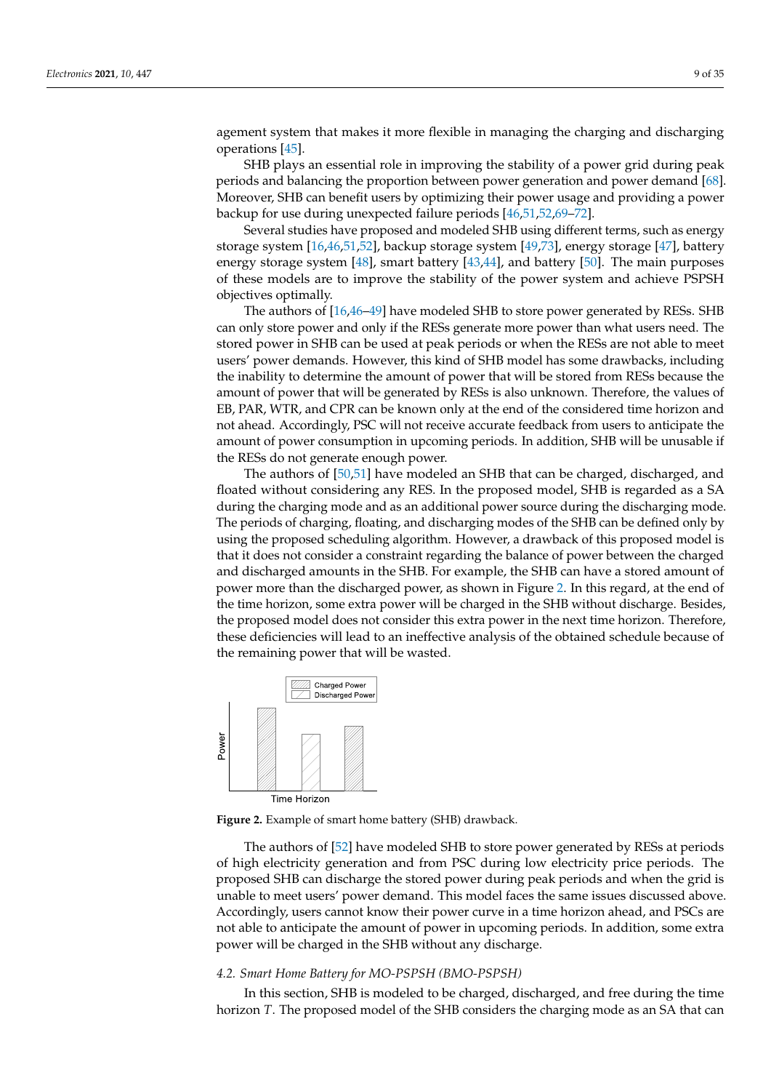agement system that makes it more flexible in managing the charging and discharging operations [45].

SHB plays an essential role in improving the stability of a power grid during peak periods and balancing the proportion between power generation and power demand [68]. Moreover, SHB can benefit users by optimizing their power usage and providing a power backup for use during unexpected failure periods [46,51,52,69–72].

Several studies have proposed and modeled SHB using different terms, such as energy storage system [16,46,51,52], backup storage system [49,73], energy storage [47], battery energy storage system [48], smart battery [43,44], and battery [50]. The main purposes of these models are to improve the stability of the power system and achieve PSPSH objectives optimally.

The authors of [16,46–49] have modeled SHB to store power generated by RESs. SHB can only store power and only if the RESs generate more power than what users need. The stored power in SHB can be used at peak periods or when the RESs are not able to meet users' power demands. However, this kind of SHB model has some drawbacks, including the inability to determine the amount of power that will be stored from RESs because the amount of power that will be generated by RESs is also unknown. Therefore, the values of EB, PAR, WTR, and CPR can be known only at the end of the considered time horizon and not ahead. Accordingly, PSC will not receive accurate feedback from users to anticipate the amount of power consumption in upcoming periods. In addition, SHB will be unusable if the RESs do not generate enough power.

The authors of [50,51] have modeled an SHB that can be charged, discharged, and floated without considering any RES. In the proposed model, SHB is regarded as a SA during the charging mode and as an additional power source during the discharging mode. The periods of charging, floating, and discharging modes of the SHB can be defined only by using the proposed scheduling algorithm. However, a drawback of this proposed model is that it does not consider a constraint regarding the balance of power between the charged and discharged amounts in the SHB. For example, the SHB can have a stored amount of power more than the discharged power, as shown in Figure 2. In this regard, at the end of the time horizon, some extra power will be charged in the SHB without discharge. Besides, the proposed model does not consider this extra power in the next time horizon. Therefore, these deficiencies will lead to an ineffective analysis of the obtained schedule because of the remaining power that will be wasted.



**Figure 2.** Example of smart home battery (SHB) drawback.

The authors of [52] have modeled SHB to store power generated by RESs at periods of high electricity generation and from PSC during low electricity price periods. The proposed SHB can discharge the stored power during peak periods and when the grid is unable to meet users' power demand. This model faces the same issues discussed above. Accordingly, users cannot know their power curve in a time horizon ahead, and PSCs are not able to anticipate the amount of power in upcoming periods. In addition, some extra power will be charged in the SHB without any discharge.

# *4.2. Smart Home Battery for MO-PSPSH (BMO-PSPSH)*

In this section, SHB is modeled to be charged, discharged, and free during the time horizon *T*. The proposed model of the SHB considers the charging mode as an SA that can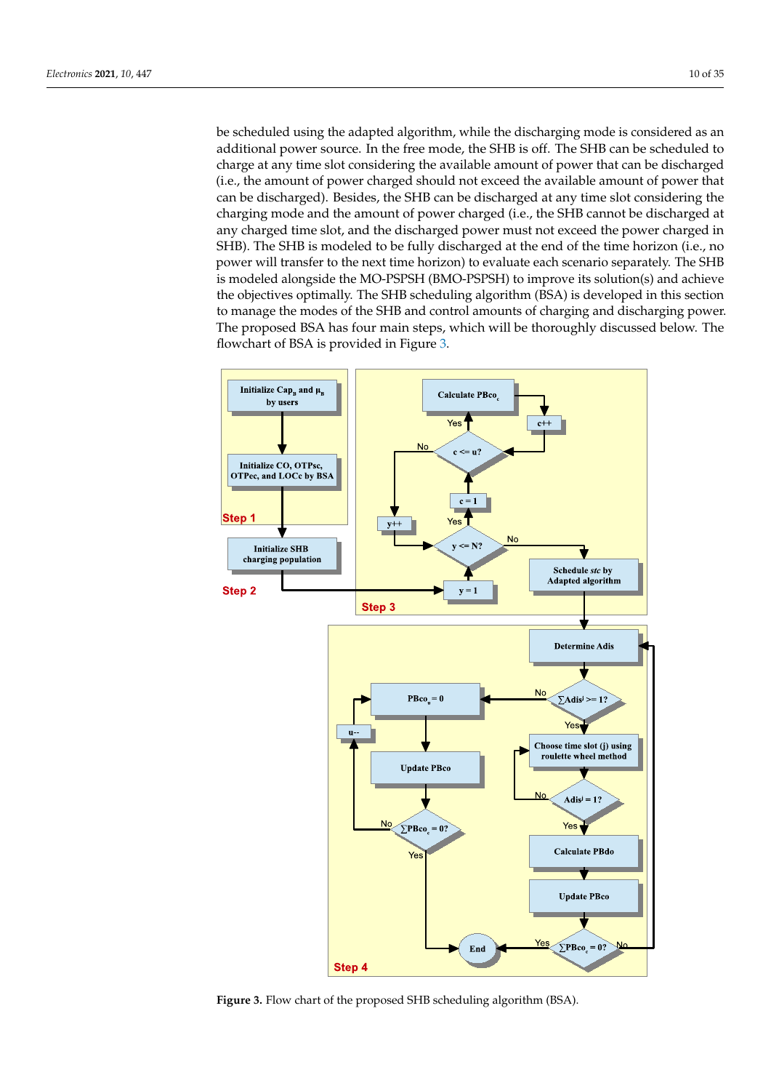be scheduled using the adapted algorithm, while the discharging mode is considered as an additional power source. In the free mode, the SHB is off. The SHB can be scheduled to charge at any time slot considering the available amount of power that can be discharged (i.e., the amount of power charged should not exceed the available amount of power that can be discharged). Besides, the SHB can be discharged at any time slot considering the charging mode and the amount of power charged (i.e., the SHB cannot be discharged at any charged time slot, and the discharged power must not exceed the power charged in SHB). The SHB is modeled to be fully discharged at the end of the time horizon (i.e., no power will transfer to the next time horizon) to evaluate each scenario separately. The SHB is modeled alongside the MO-PSPSH (BMO-PSPSH) to improve its solution(s) and achieve the objectives optimally. The SHB scheduling algorithm (BSA) is developed in this section to manage the modes of the SHB and control amounts of charging and discharging power. The proposed BSA has four main steps, which will be thoroughly discussed below. The flowchart of BSA is provided in Figure 3.



**Figure 3.** Flow chart of the proposed SHB scheduling algorithm (BSA).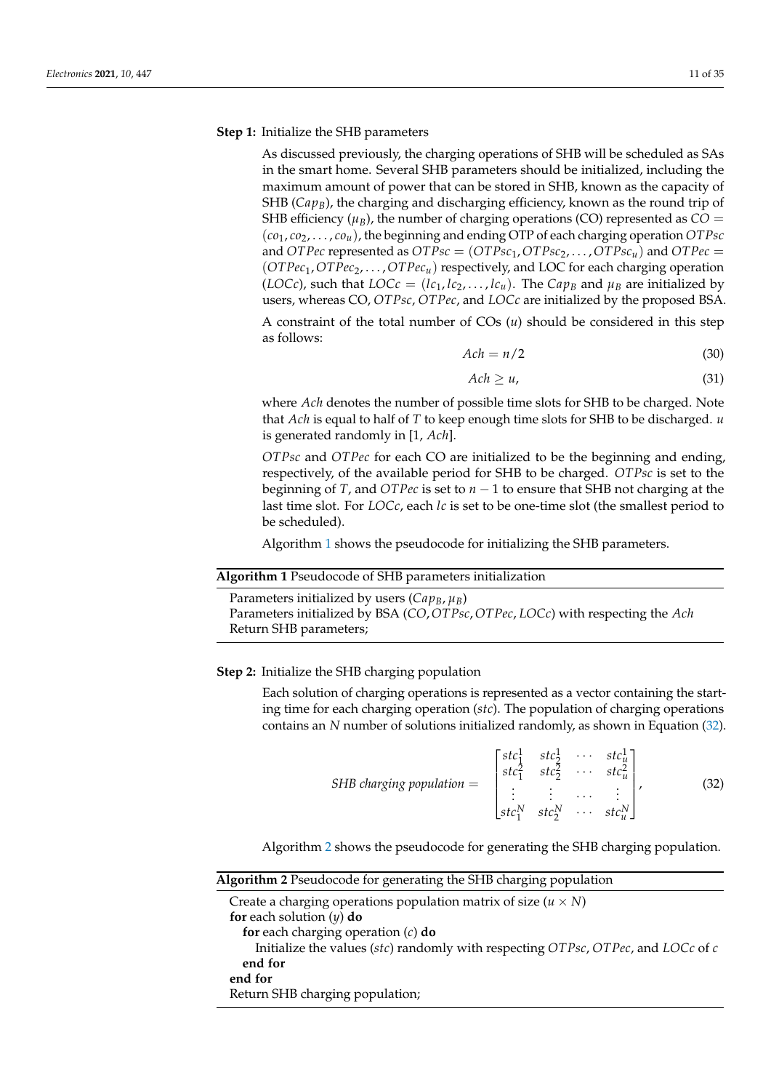# **Step 1:** Initialize the SHB parameters

As discussed previously, the charging operations of SHB will be scheduled as SAs in the smart home. Several SHB parameters should be initialized, including the maximum amount of power that can be stored in SHB, known as the capacity of SHB ( $Cap_B$ ), the charging and discharging efficiency, known as the round trip of SHB efficiency ( $\mu$ <sub>*B*</sub>), the number of charging operations (CO) represented as  $CO =$  $(c_{01}, c_{02}, \ldots, c_{0u})$ , the beginning and ending OTP of each charging operation *OTPsc* and *OTPec* represented as  $OTPsc = (OTPsc_1, OTPsc_2, \ldots, OTPsc_u)$  and  $OTPec =$ (*OTPec*1,*OTPec*2, . . . ,*OTPecu*) respectively, and LOC for each charging operation (*LOCc*), such that *LOCc* = (*lc*<sub>1</sub>, *lc*<sub>2</sub>, . . . , *lc*<sub>*u*</sub>). The *Cap*<sub>*B*</sub> and  $\mu$ <sub>*B*</sub> are initialized by users, whereas CO, *OTPsc*, *OTPec*, and *LOCc* are initialized by the proposed BSA.

A constraint of the total number of COs (*u*) should be considered in this step as follows:

$$
Ach = n/2 \tag{30}
$$

$$
Ach \ge u,\tag{31}
$$

where *Ach* denotes the number of possible time slots for SHB to be charged. Note that *Ach* is equal to half of *T* to keep enough time slots for SHB to be discharged. *u* is generated randomly in [1, *Ach*].

*OTPsc* and *OTPec* for each CO are initialized to be the beginning and ending, respectively, of the available period for SHB to be charged. *OTPsc* is set to the beginning of *T*, and *OTPec* is set to  $n - 1$  to ensure that SHB not charging at the last time slot. For *LOCc*, each *lc* is set to be one-time slot (the smallest period to be scheduled).

Algorithm 1 shows the pseudocode for initializing the SHB parameters.

# **Algorithm 1** Pseudocode of SHB parameters initialization

Parameters initialized by users  $(Cap_B, \mu_B)$ Parameters initialized by BSA (*CO*,*OTPsc*,*OTPec*, *LOCc*) with respecting the *Ach* Return SHB parameters;

# **Step 2:** Initialize the SHB charging population

Each solution of charging operations is represented as a vector containing the starting time for each charging operation (*stc*). The population of charging operations contains an *N* number of solutions initialized randomly, as shown in Equation (32).

$$
SHB\,charging\, population = \begin{bmatrix} stc_1^1 & stc_2^1 & \cdots & stc_u^1 \\ stc_1^2 & stc_2^2 & \cdots & stc_u^2 \\ \vdots & \vdots & \cdots & \vdots \\ stc_1^N & stc_2^N & \cdots & stc_u^N \end{bmatrix},
$$
(32)

Algorithm 2 shows the pseudocode for generating the SHB charging population.

| <b>Algorithm 2</b> Pseudocode for generating the SHB charging population         |  |
|----------------------------------------------------------------------------------|--|
| Create a charging operations population matrix of size $(u \times N)$            |  |
| for each solution $(y)$ do                                                       |  |
| for each charging operation $(c)$ do                                             |  |
| Initialize the values (stc) randomly with respecting OTPsc, OTPec, and LOCc of c |  |
| end for                                                                          |  |
| end for                                                                          |  |
| Return SHB charging population;                                                  |  |
|                                                                                  |  |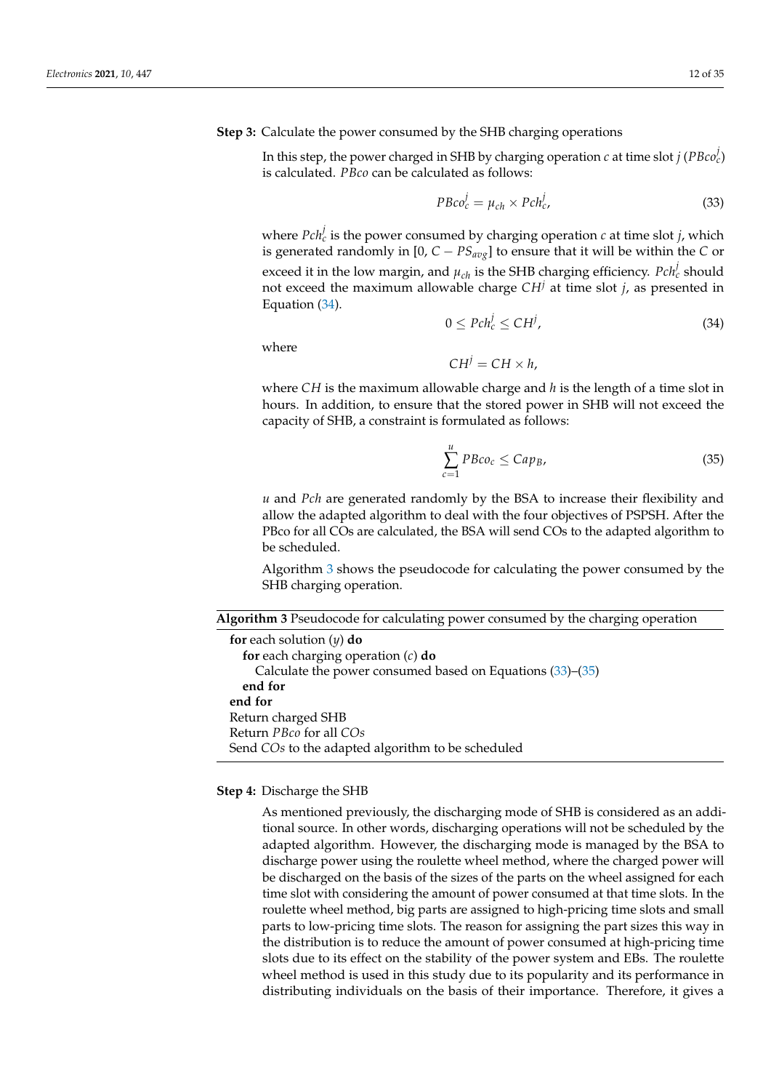# **Step 3:** Calculate the power consumed by the SHB charging operations

In this step, the power charged in SHB by charging operation  $c$  at time slot  $j$  ( $P B co_c^j$ ) is calculated. *PBco* can be calculated as follows:

$$
P B co_c^j = \mu_{ch} \times P ch_c^j,
$$
\n(33)

where  $Pch_c^j$  is the power consumed by charging operation  $c$  at time slot  $j$ , which is generated randomly in  $[0, C - PS_{avg}]$  to ensure that it will be within the *C* or exceed it in the low margin, and  $\mu_{ch}$  is the SHB charging efficiency.  $Pch_c^j$  should not exceed the maximum allowable charge *CH<sup>j</sup>* at time slot *j*, as presented in Equation (34).

$$
0 \le Pch_c^j \le CH^j,\tag{34}
$$

where

 $CH^{j} = CH \times h$ .

where *CH* is the maximum allowable charge and *h* is the length of a time slot in hours. In addition, to ensure that the stored power in SHB will not exceed the capacity of SHB, a constraint is formulated as follows:

$$
\sum_{c=1}^{u} P B co_c \leq Cap_B,
$$
\n(35)

*u* and *Pch* are generated randomly by the BSA to increase their flexibility and allow the adapted algorithm to deal with the four objectives of PSPSH. After the PBco for all COs are calculated, the BSA will send COs to the adapted algorithm to be scheduled.

Algorithm 3 shows the pseudocode for calculating the power consumed by the SHB charging operation.

| <b>Algorithm 3</b> Pseudocode for calculating power consumed by the charging operation |  |  |  |  |  |
|----------------------------------------------------------------------------------------|--|--|--|--|--|
|                                                                                        |  |  |  |  |  |
|                                                                                        |  |  |  |  |  |

**for** each solution (*y*) **do for** each charging operation (*c*) **do** Calculate the power consumed based on Equations (33)–(35) **end for end for** Return charged SHB Return *PBco* for all *COs* Send *COs* to the adapted algorithm to be scheduled

#### **Step 4:** Discharge the SHB

As mentioned previously, the discharging mode of SHB is considered as an additional source. In other words, discharging operations will not be scheduled by the adapted algorithm. However, the discharging mode is managed by the BSA to discharge power using the roulette wheel method, where the charged power will be discharged on the basis of the sizes of the parts on the wheel assigned for each time slot with considering the amount of power consumed at that time slots. In the roulette wheel method, big parts are assigned to high-pricing time slots and small parts to low-pricing time slots. The reason for assigning the part sizes this way in the distribution is to reduce the amount of power consumed at high-pricing time slots due to its effect on the stability of the power system and EBs. The roulette wheel method is used in this study due to its popularity and its performance in distributing individuals on the basis of their importance. Therefore, it gives a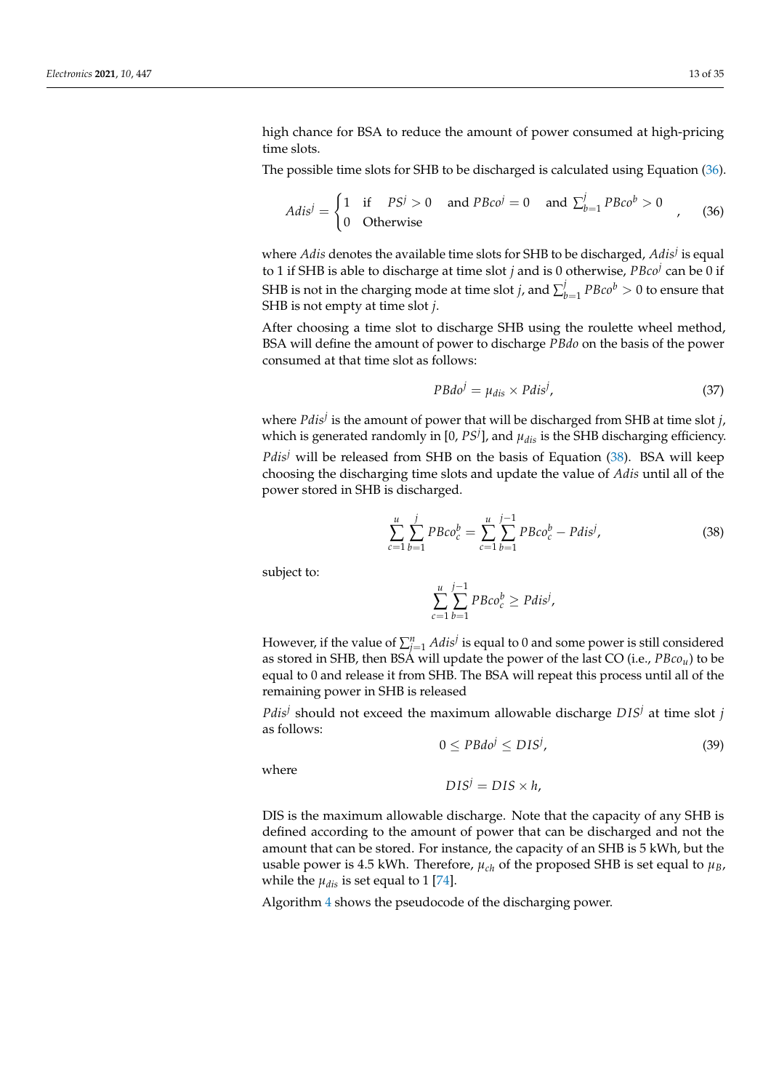high chance for BSA to reduce the amount of power consumed at high-pricing time slots.

The possible time slots for SHB to be discharged is calculated using Equation (36).

$$
Adis^{j} = \begin{cases} 1 & \text{if } PS^{j} > 0 \quad \text{and } PBco^{j} = 0 \quad \text{and } \sum_{b=1}^{j} PBco^{b} > 0 \\ 0 & \text{Otherwise} \end{cases}
$$
 (36)

where *Adis* denotes the available time slots for SHB to be discharged, *Adis<sup>j</sup>* is equal to 1 if SHB is able to discharge at time slot *j* and is 0 otherwise, *PBco<sup>j</sup>* can be 0 if SHB is not in the charging mode at time slot *j*, and  $\sum_{l}^{j}$  $\frac{d}{dt}$   $pBco^b > 0$  to ensure that SHB is not empty at time slot *j*.

After choosing a time slot to discharge SHB using the roulette wheel method, BSA will define the amount of power to discharge *PBdo* on the basis of the power consumed at that time slot as follows:

$$
PBdoj = \mu_{dis} \times Pdisj,
$$
 (37)

where *Pdis<sup>j</sup>* is the amount of power that will be discharged from SHB at time slot *j*, which is generated randomly in [0,  $PS<sup>j</sup>$ ], and  $\mu_{dis}$  is the SHB discharging efficiency. *Pdis<sup>j</sup>* will be released from SHB on the basis of Equation (38). BSA will keep choosing the discharging time slots and update the value of *Adis* until all of the power stored in SHB is discharged.

$$
\sum_{c=1}^{u} \sum_{b=1}^{j} P B co_c^b = \sum_{c=1}^{u} \sum_{b=1}^{j-1} P B co_c^b - P dis^j,
$$
\n(38)

subject to:

$$
\sum_{c=1}^u \sum_{b=1}^{j-1} P B co_c^b \ge P dis^j,
$$

However, if the value of  $\sum_{j=1}^n Adis^j$  is equal to 0 and some power is still considered as stored in SHB, then BSA will update the power of the last CO (i.e., *PBcou*) to be equal to 0 and release it from SHB. The BSA will repeat this process until all of the remaining power in SHB is released

*Pdis<sup>j</sup>* should not exceed the maximum allowable discharge *DIS<sup>j</sup>* at time slot *j* as follows:

$$
0 \le PBdo^j \le DIS^j,\tag{39}
$$

where

$$
DIS^j = DIS \times h,
$$

DIS is the maximum allowable discharge. Note that the capacity of any SHB is defined according to the amount of power that can be discharged and not the amount that can be stored. For instance, the capacity of an SHB is 5 kWh, but the usable power is 4.5 kWh. Therefore,  $\mu_{ch}$  of the proposed SHB is set equal to  $\mu_B$ , while the  $\mu_{dis}$  is set equal to 1 [74].

Algorithm 4 shows the pseudocode of the discharging power.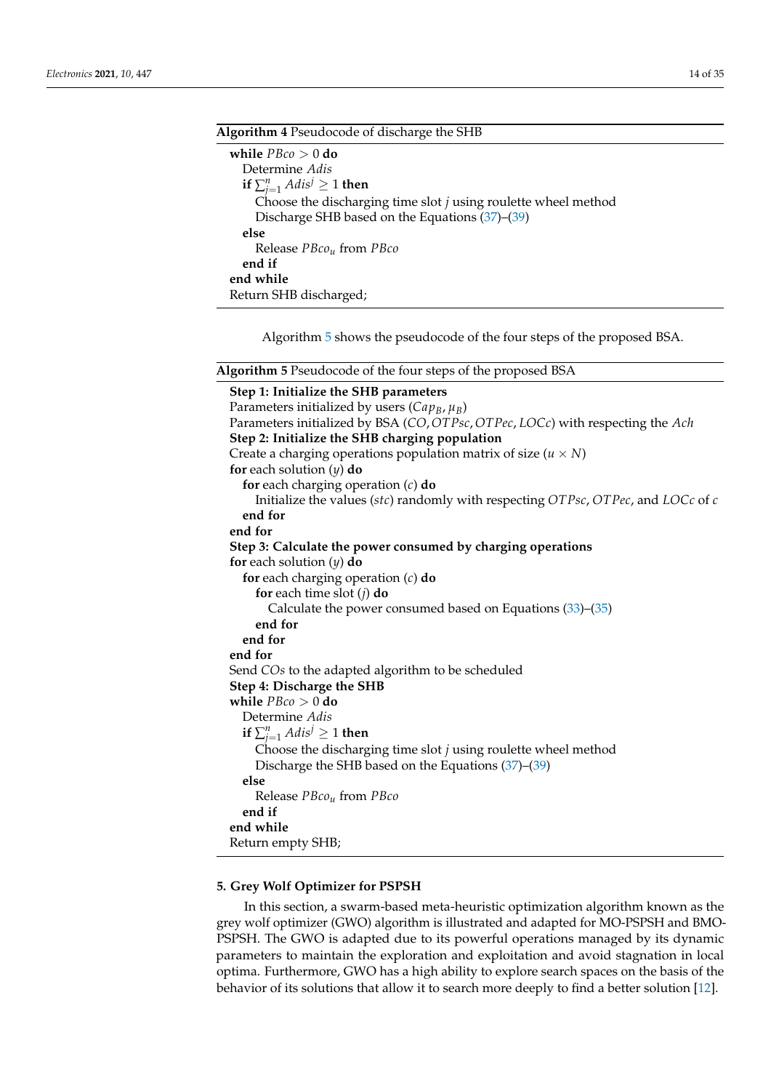| Algorithm 4 Pseudocode of discharge the SHB                      |  |  |  |  |
|------------------------------------------------------------------|--|--|--|--|
| while $P B co > 0$ do                                            |  |  |  |  |
| Determine Adis                                                   |  |  |  |  |
| if $\sum_{i=1}^n Adis^j \geq 1$ then                             |  |  |  |  |
| Choose the discharging time slot $j$ using roulette wheel method |  |  |  |  |
| Discharge SHB based on the Equations (37)–(39)                   |  |  |  |  |
| else                                                             |  |  |  |  |
| Release <i>PBco<sub>u</sub></i> from <i>PBco</i>                 |  |  |  |  |
| end if                                                           |  |  |  |  |
| end while                                                        |  |  |  |  |
| Return SHB discharged;                                           |  |  |  |  |

Algorithm 5 shows the pseudocode of the four steps of the proposed BSA.

| <b>Algorithm 5</b> Pseudocode of the four steps of the proposed BSA |  |  |
|---------------------------------------------------------------------|--|--|
|---------------------------------------------------------------------|--|--|

**Step 1: Initialize the SHB parameters** Parameters initialized by users  $(Cap_B, \mu_B)$ Parameters initialized by BSA (*CO*,*OTPsc*,*OTPec*, *LOCc*) with respecting the *Ach* **Step 2: Initialize the SHB charging population** Create a charging operations population matrix of size  $(u \times N)$ **for** each solution (*y*) **do for** each charging operation (*c*) **do** Initialize the values (*stc*) randomly with respecting *OTPsc*, *OTPec*, and *LOCc* of *c* **end for end for Step 3: Calculate the power consumed by charging operations for** each solution (*y*) **do for** each charging operation (*c*) **do for** each time slot (*j*) **do** Calculate the power consumed based on Equations (33)–(35) **end for end for end for** Send *COs* to the adapted algorithm to be scheduled **Step 4: Discharge the SHB while** *PBco* > 0 **do** Determine *Adis* **if**  $\sum_{j=1}^{n} Adis^{j} \geq 1$  **then** Choose the discharging time slot *j* using roulette wheel method Discharge the SHB based on the Equations (37)–(39) **else** Release *PBcou* from *PBco* **end if end while** Return empty SHB;

#### **5. Grey Wolf Optimizer for PSPSH**

In this section, a swarm-based meta-heuristic optimization algorithm known as the grey wolf optimizer (GWO) algorithm is illustrated and adapted for MO-PSPSH and BMO-PSPSH. The GWO is adapted due to its powerful operations managed by its dynamic parameters to maintain the exploration and exploitation and avoid stagnation in local optima. Furthermore, GWO has a high ability to explore search spaces on the basis of the behavior of its solutions that allow it to search more deeply to find a better solution [12].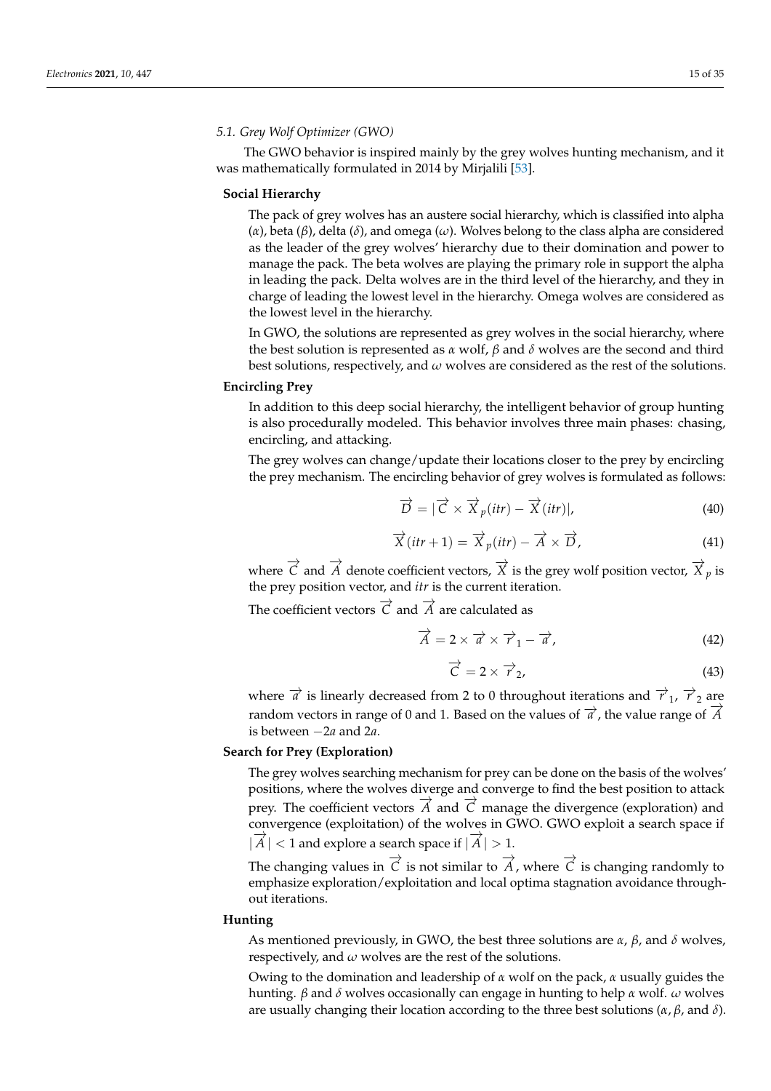## *5.1. Grey Wolf Optimizer (GWO)*

The GWO behavior is inspired mainly by the grey wolves hunting mechanism, and it was mathematically formulated in 2014 by Mirjalili [53].

# **Social Hierarchy**

The pack of grey wolves has an austere social hierarchy, which is classified into alpha (*α*), beta (*β*), delta (*δ*), and omega (*ω*). Wolves belong to the class alpha are considered as the leader of the grey wolves' hierarchy due to their domination and power to manage the pack. The beta wolves are playing the primary role in support the alpha in leading the pack. Delta wolves are in the third level of the hierarchy, and they in charge of leading the lowest level in the hierarchy. Omega wolves are considered as the lowest level in the hierarchy.

In GWO, the solutions are represented as grey wolves in the social hierarchy, where the best solution is represented as *α* wolf,  $β$  and  $δ$  wolves are the second and third best solutions, respectively, and *ω* wolves are considered as the rest of the solutions.

# **Encircling Prey**

In addition to this deep social hierarchy, the intelligent behavior of group hunting is also procedurally modeled. This behavior involves three main phases: chasing, encircling, and attacking.

The grey wolves can change/update their locations closer to the prey by encircling the prey mechanism. The encircling behavior of grey wolves is formulated as follows:

$$
\overrightarrow{D} = |\overrightarrow{C} \times \overrightarrow{X}_p(itr) - \overrightarrow{X}(itr)|,
$$
\n(40)

$$
\overrightarrow{X}(itr + 1) = \overrightarrow{X}_p (itr) - \overrightarrow{A} \times \overrightarrow{D}, \qquad (41)
$$

where  $\overrightarrow{C}$  and  $\overrightarrow{A}$  denote coefficient vectors,  $\overrightarrow{X}$  is the grey wolf position vector,  $\overrightarrow{X}$  *p* is the prey position vector, and *itr* is the current iteration.

The coefficient vectors  $\vec{C}$  and  $\vec{A}$  are calculated as

$$
\overrightarrow{A} = 2 \times \overrightarrow{a} \times \overrightarrow{r}_1 - \overrightarrow{a}, \qquad (42)
$$

$$
\overrightarrow{C} = 2 \times \overrightarrow{r}_2,\tag{43}
$$

where  $\vec{a}$  is linearly decreased from 2 to 0 throughout iterations and  $\vec{r}_1$ ,  $\vec{r}_2$  are random vectors in range of 0 and 1. Based on the values of  $\overrightarrow{a}$ , the value range of  $\overrightarrow{A}$ is between −2*a* and 2*a*.

#### **Search for Prey (Exploration)**

The grey wolves searching mechanism for prey can be done on the basis of the wolves' positions, where the wolves diverge and converge to find the best position to attack prey. The coefficient vectors  $\overline{A}$  and  $\overline{C}$  manage the divergence (exploration) and convergence (exploitation) of the wolves in GWO. GWO exploit a search space if  $|\overrightarrow{A}| < 1$  and explore a search space if  $|\overrightarrow{A}| > 1$ .

The changing values in  $\overrightarrow{C}$  is not similar to  $\overrightarrow{A}$ , where  $\overrightarrow{C}$  is changing randomly to emphasize exploration/exploitation and local optima stagnation avoidance throughout iterations.

#### **Hunting**

As mentioned previously, in GWO, the best three solutions are *α*, *β*, and *δ* wolves, respectively, and *ω* wolves are the rest of the solutions.

Owing to the domination and leadership of *α* wolf on the pack, *α* usually guides the hunting. *β* and *δ* wolves occasionally can engage in hunting to help *α* wolf. *ω* wolves are usually changing their location according to the three best solutions (*α*, *β*, and *δ*).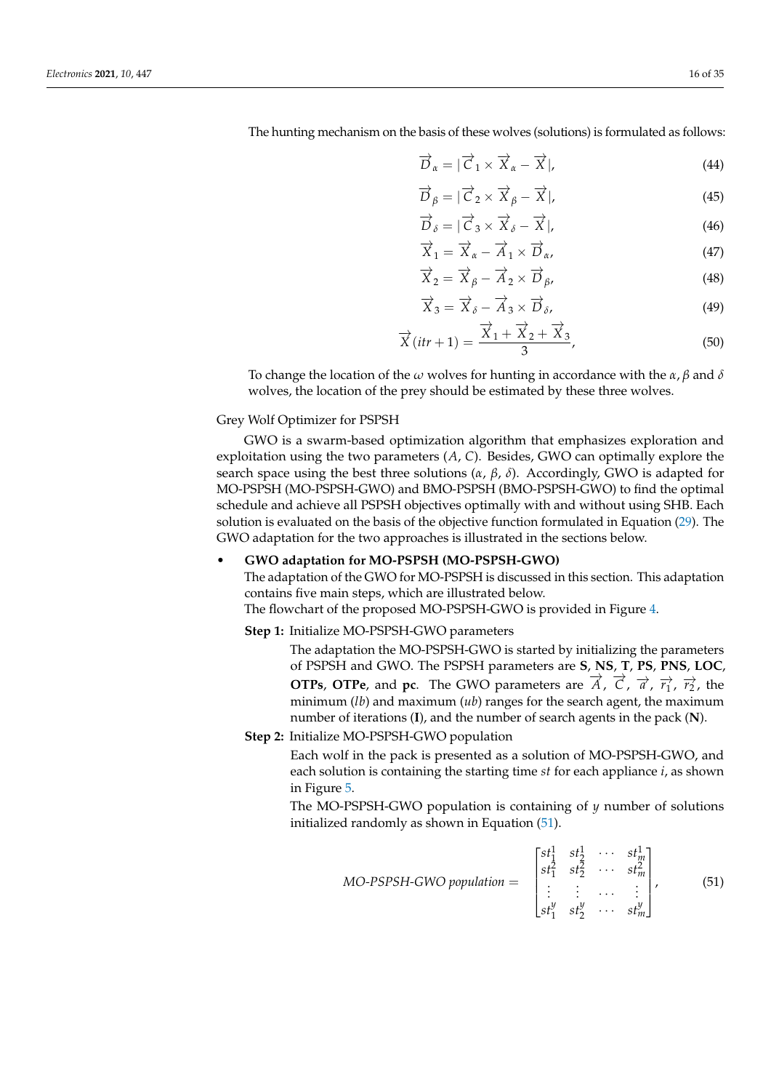The hunting mechanism on the basis of these wolves (solutions) is formulated as follows:

$$
\overrightarrow{D}_{\alpha} = |\overrightarrow{C}_1 \times \overrightarrow{X}_{\alpha} - \overrightarrow{X}|, \tag{44}
$$

$$
\overrightarrow{D}_{\beta} = |\overrightarrow{C}_2 \times \overrightarrow{X}_{\beta} - \overrightarrow{X}|, \tag{45}
$$

$$
\overrightarrow{D}_{\delta} = |\overrightarrow{C}_3 \times \overrightarrow{X}_{\delta} - \overrightarrow{X}|, \tag{46}
$$

$$
\overrightarrow{X}_1 = \overrightarrow{X}_\alpha - \overrightarrow{A}_1 \times \overrightarrow{D}_\alpha,\tag{47}
$$

$$
\overrightarrow{X}_2 = \overrightarrow{X}_\beta - \overrightarrow{A}_2 \times \overrightarrow{D}_\beta, \tag{48}
$$

$$
\overrightarrow{X}_3 = \overrightarrow{X}_\delta - \overrightarrow{A}_3 \times \overrightarrow{D}_\delta,\tag{49}
$$

$$
\overrightarrow{X}(itr+1) = \frac{\overrightarrow{X}_1 + \overrightarrow{X}_2 + \overrightarrow{X}_3}{3},
$$
\n(50)

To change the location of the *ω* wolves for hunting in accordance with the *α*, *β* and *δ* wolves, the location of the prey should be estimated by these three wolves.

# Grey Wolf Optimizer for PSPSH

GWO is a swarm-based optimization algorithm that emphasizes exploration and exploitation using the two parameters (*A*, *C*). Besides, GWO can optimally explore the search space using the best three solutions (*α*, *β*, *δ*). Accordingly, GWO is adapted for MO-PSPSH (MO-PSPSH-GWO) and BMO-PSPSH (BMO-PSPSH-GWO) to find the optimal schedule and achieve all PSPSH objectives optimally with and without using SHB. Each solution is evaluated on the basis of the objective function formulated in Equation (29). The GWO adaptation for the two approaches is illustrated in the sections below.

# • **GWO adaptation for MO-PSPSH (MO-PSPSH-GWO)**

The adaptation of the GWO for MO-PSPSH is discussed in this section. This adaptation contains five main steps, which are illustrated below.

The flowchart of the proposed MO-PSPSH-GWO is provided in Figure 4.

#### **Step 1:** Initialize MO-PSPSH-GWO parameters

- The adaptation the MO-PSPSH-GWO is started by initializing the parameters of PSPSH and GWO. The PSPSH parameters are **S**, **NS**, **T**, **PS**, **PNS**, **LOC**, **OTPs**, **OTPe**, and **pc**. The GWO parameters are  $\overrightarrow{A}$ ,  $\overrightarrow{C}$ ,  $\overrightarrow{a}$ ,  $\overrightarrow{r_1}$ ,  $\overrightarrow{r_2}$ , the minimum (*lb*) and maximum (*ub*) ranges for the search agent, the maximum number of iterations (**I**), and the number of search agents in the pack (**N**).
- **Step 2:** Initialize MO-PSPSH-GWO population

Each wolf in the pack is presented as a solution of MO-PSPSH-GWO, and each solution is containing the starting time *st* for each appliance *i*, as shown in Figure 5.

The MO-PSPSH-GWO population is containing of *y* number of solutions initialized randomly as shown in Equation (51).

$$
MO\text{-}PSPSH\text{-}GWO\text{ population} = \begin{bmatrix} st_1^1 & st_2^1 & \cdots & st_m^1 \\ st_1^2 & st_2^2 & \cdots & st_m^2 \\ \vdots & \vdots & \cdots & \vdots \\ st_1^y & st_2^y & \cdots & st_m^y \end{bmatrix},\tag{51}
$$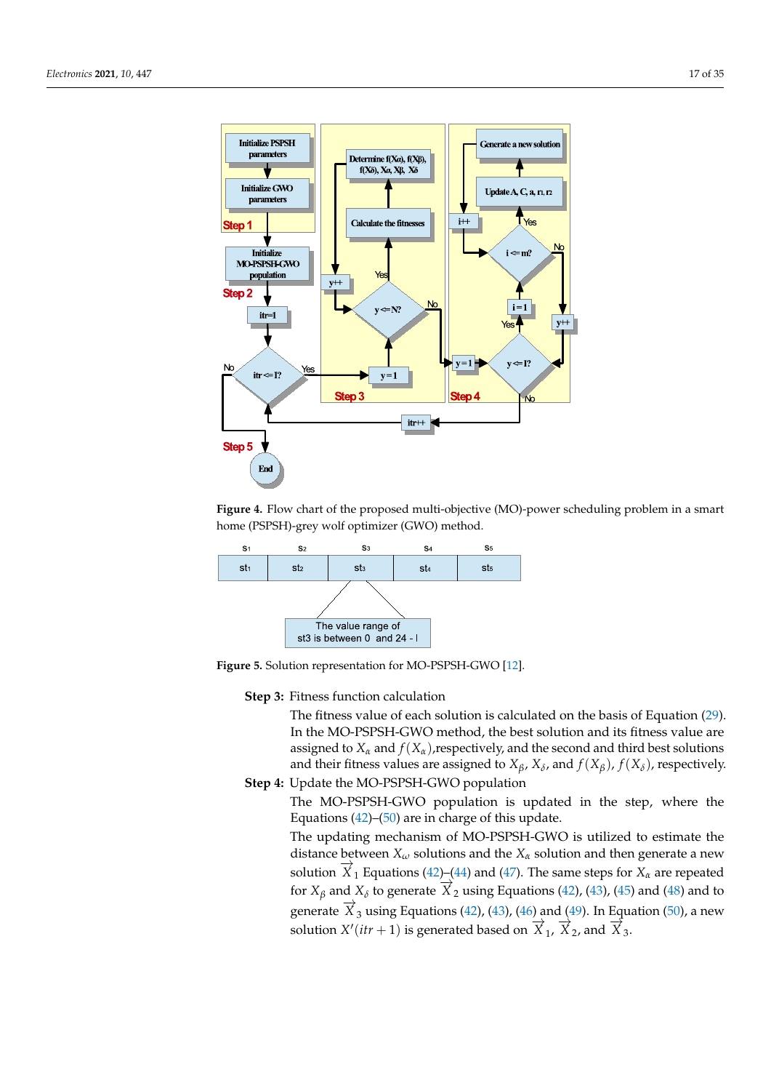![](_page_16_Figure_2.jpeg)

**Figure 4.** Flow chart of the proposed multi-objective (MO)-power scheduling problem in a smart home (PSPSH)-grey wolf optimizer (GWO) method.

![](_page_16_Figure_4.jpeg)

**Figure 5.** Solution representation for MO-PSPSH-GWO [12].

**Step 3:** Fitness function calculation

The fitness value of each solution is calculated on the basis of Equation (29). In the MO-PSPSH-GWO method, the best solution and its fitness value are assigned to  $X_\alpha$  and  $f(X_\alpha)$ , respectively, and the second and third best solutions and their fitness values are assigned to  $X_{\beta}$ ,  $X_{\delta}$ , and  $f(X_{\beta})$ ,  $f(X_{\delta})$ , respectively.

**Step 4:** Update the MO-PSPSH-GWO population The MO-PSPSH-GWO population is updated in the step, where the

Equations  $(42)$ – $(50)$  are in charge of this update. The updating mechanism of MO-PSPSH-GWO is utilized to estimate the distance between *X<sup>ω</sup>* solutions and the *X<sup>α</sup>* solution and then generate a new solution  $\overrightarrow{X}_1$  Equations (42)–(44) and (47). The same steps for  $X_\alpha$  are repeated for  $X_\beta$  and  $X_\delta$  to generate  $\overrightarrow{X}_2$  using Equations (42), (43), (45) and (48) and to generate  $\overrightarrow{X}_3$  using Equations (42), (43), (46) and (49). In Equation (50), a new solution  $X'(itr + 1)$  is generated based on  $\overline{X}_1$ ,  $\overline{X}_2$ , and  $\overline{X}_3$ .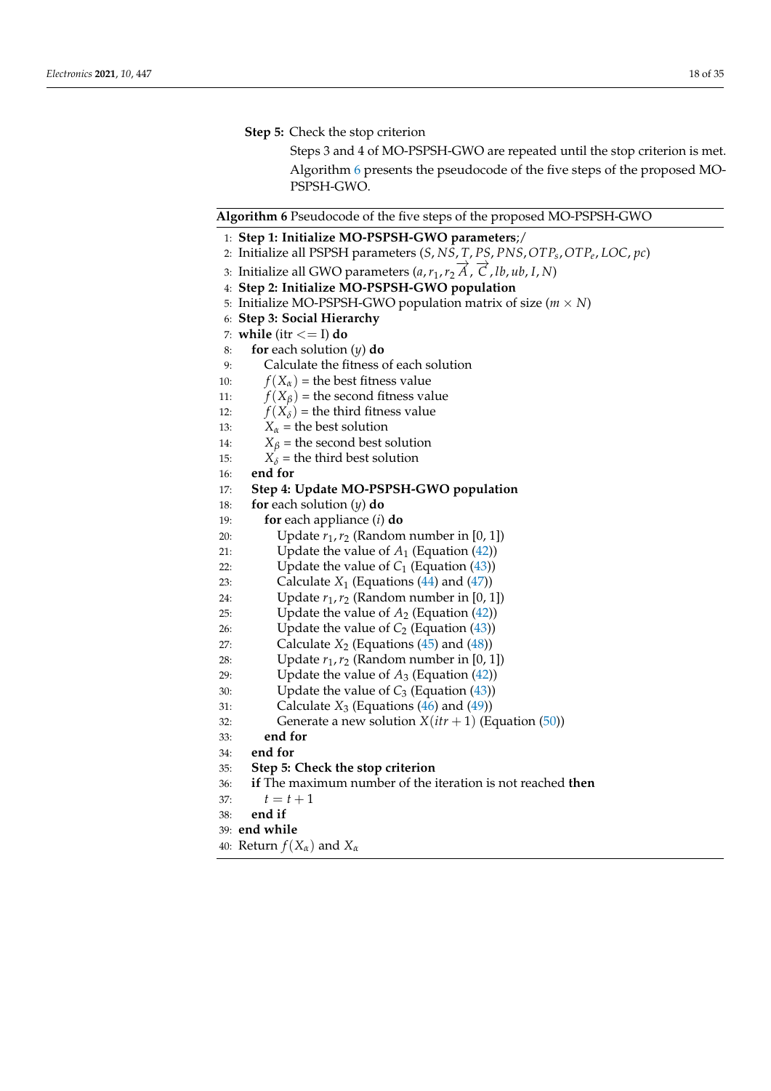# **Step 5:** Check the stop criterion

Steps 3 and 4 of MO-PSPSH-GWO are repeated until the stop criterion is met. Algorithm 6 presents the pseudocode of the five steps of the proposed MO-PSPSH-GWO.

## **Algorithm 6** Pseudocode of the five steps of the proposed MO-PSPSH-GWO

- 1: **Step 1: Initialize MO-PSPSH-GWO parameters**;/
- 2: Initialize all PSPSH parameters (*S*, *NS*, *T*, *PS*, *PNS*,*OTPs* ,*OTPe* , *LOC*, *pc*)
- 3: Initialize all GWO parameters (*a*,*r*1,*r*<sup>2</sup> −→*A* , −→*<sup>C</sup>* , *lb*, *ub*, *<sup>I</sup>*, *<sup>N</sup>*)
- 4: **Step 2: Initialize MO-PSPSH-GWO population**
- 5: Initialize MO-PSPSH-GWO population matrix of size ( $m \times N$ )
- 6: **Step 3: Social Hierarchy**
- 7: **while** (itr <= I) **do**
- 8: **for** each solution (*y*) **do**
- 9: Calculate the fitness of each solution
- 10:  $f(X_\alpha)$  = the best fitness value
- 11:  $f(X_\beta)$  = the second fitness value
- 12:  $f(X_\delta)$  = the third fitness value
- 13:  $X_\alpha$  = the best solution
- 14:  $X_{\beta}$  = the second best solution<br>15:  $X_{\delta}$  = the third best solution
- $X_{\delta}$  = the third best solution
- 16: **end for**
- 17: **Step 4: Update MO-PSPSH-GWO population**
- 18: **for** each solution (*y*) **do**
- 19: **for** each appliance (*i*) **do**
- 20: Update  $r_1, r_2$  (Random number in [0, 1])
- 21: Update the value of  $A_1$  (Equation  $(42)$ )
- 22: Update the value of  $C_1$  (Equation  $(43)$ )
- 23: Calculate  $X_1$  (Equations  $(44)$  and  $(47)$ )
- 24: Update  $r_1$ ,  $r_2$  (Random number in [0, 1])
- 25: Update the value of  $A_2$  (Equation  $(42)$ )
- 
- 26: Update the value of  $C_2$  (Equation (43))<br>27: Calculate  $X_2$  (Equations (45) and (48)) Calculate  $X_2$  (Equations (45) and (48))
- 28: Update  $r_1$ ,  $r_2$  (Random number in [0, 1])
- 29: Update the value of  $A_3$  (Equation  $(42)$ )
- 30: Update the value of  $C_3$  (Equation  $(43)$ )
- 31: Calculate  $X_3$  (Equations  $(46)$  and  $(49)$ )
- 32: Generate a new solution  $X(itr + 1)$  (Equation (50))
- 33: **end for**
- 34: **end for**
- 35: **Step 5: Check the stop criterion**
- 36: **if** The maximum number of the iteration is not reached **then**
- 37:  $t = t + 1$
- 38: **end if**
- 39: **end while**
- 40: Return *f*(*Xα*) and *X<sup>α</sup>*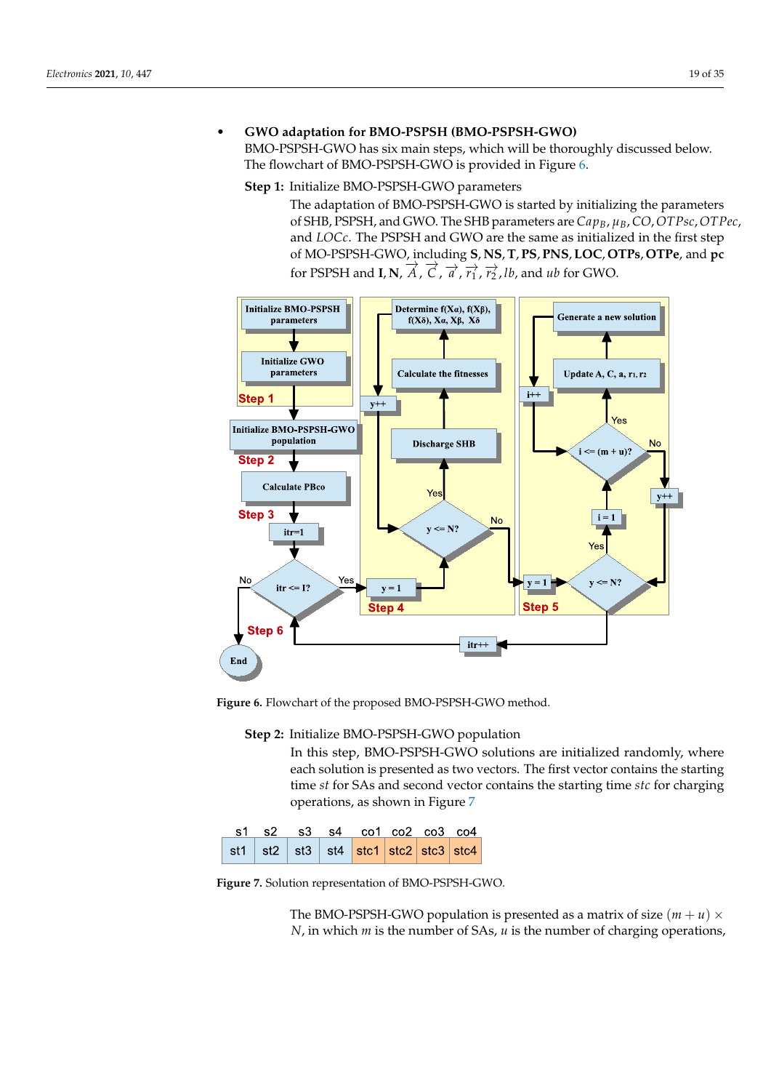# • **GWO adaptation for BMO-PSPSH (BMO-PSPSH-GWO)**

BMO-PSPSH-GWO has six main steps, which will be thoroughly discussed below. The flowchart of BMO-PSPSH-GWO is provided in Figure 6.

# **Step 1:** Initialize BMO-PSPSH-GWO parameters

The adaptation of BMO-PSPSH-GWO is started by initializing the parameters of SHB, PSPSH, and GWO. The SHB parameters are *CapB*, *µB*, *CO*, *OTPsc*, *OTPec*, and *LOCc*. The PSPSH and GWO are the same as initialized in the first step of MO-PSPSH-GWO, including **S**, **NS**, **T**, **PS**, **PNS**, **LOC**, **OTPs**, **OTPe**, and **pc** for PSPSH and **I**, **N**,  $\overrightarrow{A}$ ,  $\overrightarrow{C}$ ,  $\overrightarrow{a}$ ,  $\overrightarrow{r_1}$ ,  $\overrightarrow{r_2}$ , *lb*, and *ub* for GWO.

![](_page_18_Figure_6.jpeg)

**Figure 6.** Flowchart of the proposed BMO-PSPSH-GWO method.

**Step 2:** Initialize BMO-PSPSH-GWO population

In this step, BMO-PSPSH-GWO solutions are initialized randomly, where each solution is presented as two vectors. The first vector contains the starting time *st* for SAs and second vector contains the starting time *stc* for charging operations, as shown in Figure 7

|  |  | s1 s2 s3 s4 co1 co2 co3 co4                       |  |  |
|--|--|---------------------------------------------------|--|--|
|  |  | st1   st2   st3   st4   stc1   stc2   stc3   stc4 |  |  |

**Figure 7.** Solution representation of BMO-PSPSH-GWO.

The BMO-PSPSH-GWO population is presented as a matrix of size  $(m + u) \times$ *N*, in which *m* is the number of SAs, *u* is the number of charging operations,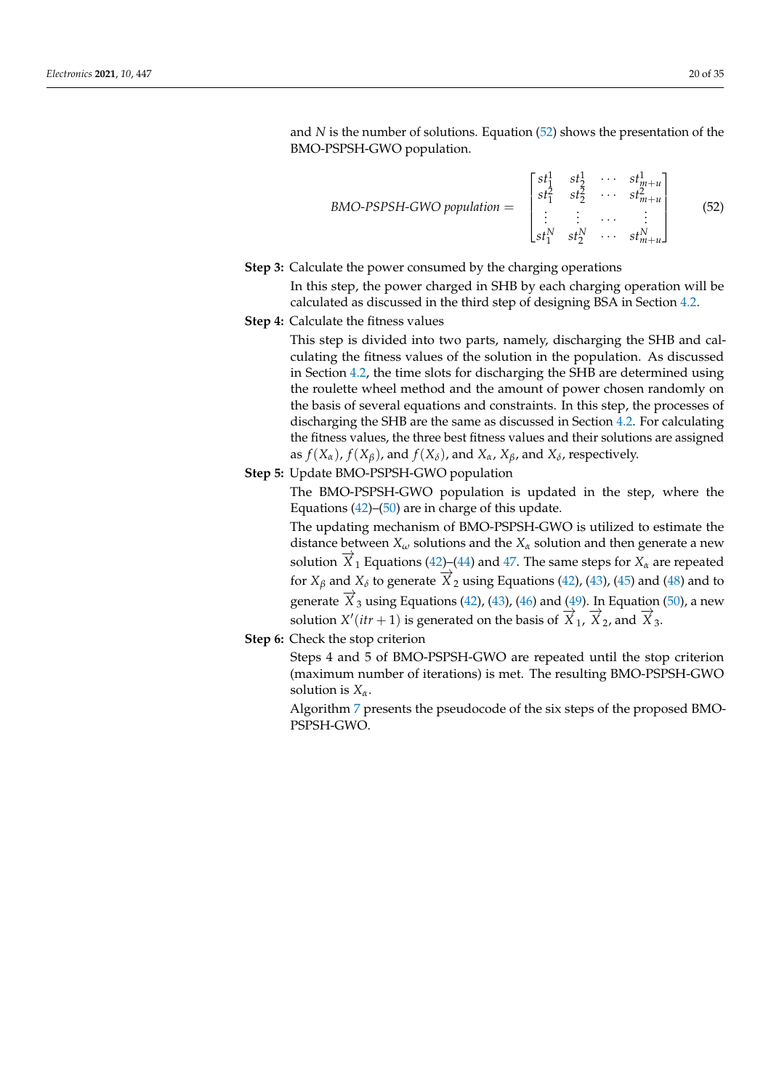and *N* is the number of solutions. Equation (52) shows the presentation of the BMO-PSPSH-GWO population.

$$
BMO\text{-}PSPSH\text{-}GWO\text{ population} = \begin{bmatrix} st_1^1 & st_2^1 & \cdots & st_{m+u}^1 \\ st_1^2 & st_2^2 & \cdots & st_{m+u}^2 \\ \vdots & \vdots & \cdots & \vdots \\ st_1^N & st_2^N & \cdots & st_{m+u}^N \end{bmatrix}
$$
(52)

**Step 3:** Calculate the power consumed by the charging operations

In this step, the power charged in SHB by each charging operation will be calculated as discussed in the third step of designing BSA in Section 4.2.

**Step 4:** Calculate the fitness values

This step is divided into two parts, namely, discharging the SHB and calculating the fitness values of the solution in the population. As discussed in Section 4.2, the time slots for discharging the SHB are determined using the roulette wheel method and the amount of power chosen randomly on the basis of several equations and constraints. In this step, the processes of discharging the SHB are the same as discussed in Section 4.2. For calculating the fitness values, the three best fitness values and their solutions are assigned as  $f(X_\alpha)$ ,  $f(X_\beta)$ , and  $f(X_\delta)$ , and  $X_\alpha$ ,  $X_\beta$ , and  $X_\delta$ , respectively.

**Step 5:** Update BMO-PSPSH-GWO population

The BMO-PSPSH-GWO population is updated in the step, where the Equations  $(42)$ – $(50)$  are in charge of this update.

The updating mechanism of BMO-PSPSH-GWO is utilized to estimate the distance between *X<sup>ω</sup>* solutions and the *X<sup>α</sup>* solution and then generate a new solution  $\overline{X}_1$  Equations (42)–(44) and 47. The same steps for  $X_\alpha$  are repeated for  $X_\beta$  and  $X_\delta$  to generate  $\overrightarrow{X}_2$  using Equations (42), (43), (45) and (48) and to generate  $\overrightarrow{X}_3$  using Equations (42), (43), (46) and (49). In Equation (50), a new solution *X'*(*itr* + 1) is generated on the basis of  $\overrightarrow{X}_1$ ,  $\overrightarrow{X}_2$ , and  $\overrightarrow{X}_3$ .

**Step 6:** Check the stop criterion

Steps 4 and 5 of BMO-PSPSH-GWO are repeated until the stop criterion (maximum number of iterations) is met. The resulting BMO-PSPSH-GWO solution is *Xα*.

Algorithm 7 presents the pseudocode of the six steps of the proposed BMO-PSPSH-GWO.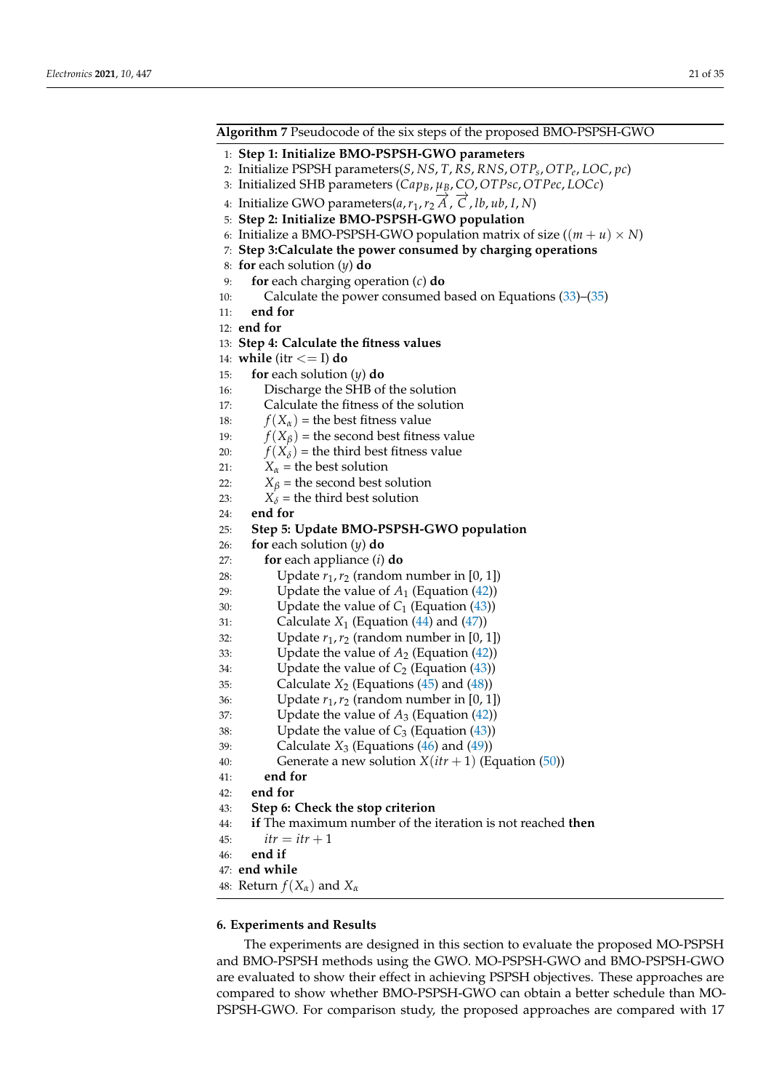| Algorithm 7 Pseudocode of the six steps of the proposed BMO-PSPSH-GWO                                   |
|---------------------------------------------------------------------------------------------------------|
| 1: Step 1: Initialize BMO-PSPSH-GWO parameters                                                          |
| 2: Initialize PSPSH parameters(S, NS, T, RS, RNS, OTP <sub>s</sub> , OTP <sub>e</sub> , LOC, pc)        |
| 3: Initialized SHB parameters ( $Cap_B$ , $\mu_B$ , CO, OTPsc, OTPec, LOCc)                             |
| 4: Initialize GWO parameters(a, $r_1$ , $r_2 \overrightarrow{A}$ , $\overrightarrow{C}$ , lb, ub, I, N) |
| 5: Step 2: Initialize BMO-PSPSH-GWO population                                                          |
| 6: Initialize a BMO-PSPSH-GWO population matrix of size $((m + u) \times N)$                            |
|                                                                                                         |
| 7: Step 3: Calculate the power consumed by charging operations<br>8: for each solution $(y)$ do         |
|                                                                                                         |
| for each charging operation $(c)$ do<br>9:<br>10:                                                       |
| Calculate the power consumed based on Equations $(33)$ – $(35)$<br>end for                              |
| 11:<br>12: end for                                                                                      |
|                                                                                                         |
| 13: Step 4: Calculate the fitness values                                                                |
| 14: while (itr $<=$ I) do                                                                               |
| for each solution $(y)$ do<br>15:                                                                       |
| Discharge the SHB of the solution<br>16:                                                                |
| Calculate the fitness of the solution<br>17:                                                            |
| $f(X_{\alpha})$ = the best fitness value<br>18:                                                         |
| $f(X_\beta)$ = the second best fitness value<br>19:                                                     |
| $f(X_\delta)$ = the third best fitness value<br>20:                                                     |
| $X_{\alpha}$ = the best solution<br>21:                                                                 |
| $X_\beta$ = the second best solution<br>22:                                                             |
| $X_{\delta}$ = the third best solution<br>23:                                                           |
| end for<br>24:                                                                                          |
| Step 5: Update BMO-PSPSH-GWO population<br>25:                                                          |
| for each solution $(y)$ do<br>26:                                                                       |
| <b>for</b> each appliance $(i)$ <b>do</b><br>27:                                                        |
| Update $r_1, r_2$ (random number in [0, 1])<br>28:                                                      |
| Update the value of $A_1$ (Equation (42))<br>29:                                                        |
| Update the value of $C_1$ (Equation (43))<br>30:                                                        |
| Calculate $X_1$ (Equation (44) and (47))<br>31:                                                         |
| Update $r_1, r_2$ (random number in [0, 1])<br>32:                                                      |
| Update the value of $A_2$ (Equation (42))<br>33:                                                        |
| Update the value of $C_2$ (Equation (43))<br>34:                                                        |
| Calculate $X_2$ (Equations (45) and (48))<br>35:                                                        |
| Update $r_1, r_2$ (random number in [0, 1])<br>36:                                                      |
| Update the value of $A_3$ (Equation (42))<br>37:                                                        |
| Update the value of $C_3$ (Equation (43))<br>38:                                                        |
| Calculate $X_3$ (Equations (46) and (49))<br>39:                                                        |
| Generate a new solution $X(itr + 1)$ (Equation (50))<br>40:                                             |
| end for<br>41:                                                                                          |
| end for<br>42:                                                                                          |
| Step 6: Check the stop criterion<br>43:                                                                 |
| if The maximum number of the iteration is not reached then<br>44:                                       |
| $itr =itr + 1$<br>45:                                                                                   |
| end if<br>46:                                                                                           |
| 47: end while                                                                                           |

48: Return  $f(X_\alpha)$  and  $X_\alpha$ 

# **6. Experiments and Results**

The experiments are designed in this section to evaluate the proposed MO-PSPSH and BMO-PSPSH methods using the GWO. MO-PSPSH-GWO and BMO-PSPSH-GWO are evaluated to show their effect in achieving PSPSH objectives. These approaches are compared to show whether BMO-PSPSH-GWO can obtain a better schedule than MO-PSPSH-GWO. For comparison study, the proposed approaches are compared with 17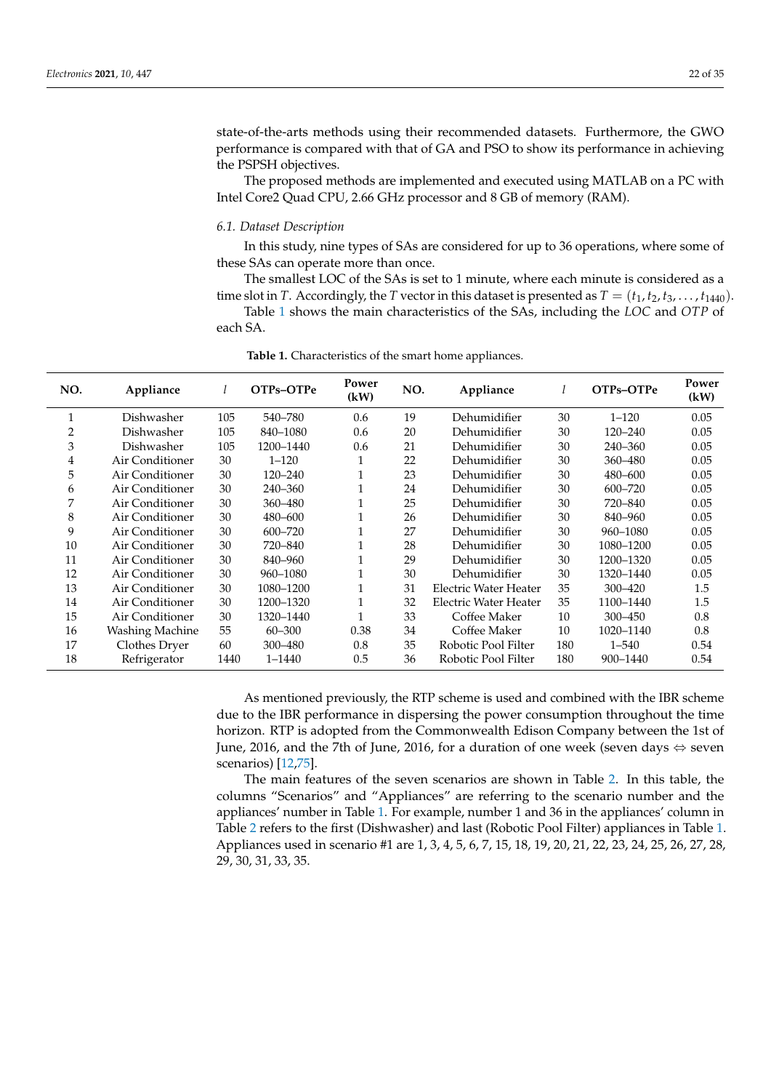state-of-the-arts methods using their recommended datasets. Furthermore, the GWO performance is compared with that of GA and PSO to show its performance in achieving the PSPSH objectives.

The proposed methods are implemented and executed using MATLAB on a PC with Intel Core2 Quad CPU, 2.66 GHz processor and 8 GB of memory (RAM).

#### *6.1. Dataset Description*

In this study, nine types of SAs are considered for up to 36 operations, where some of these SAs can operate more than once.

The smallest LOC of the SAs is set to 1 minute, where each minute is considered as a time slot in *T*. Accordingly, the *T* vector in this dataset is presented as  $T = (t_1, t_2, t_3, \ldots, t_{1440})$ .

Table 1 shows the main characteristics of the SAs, including the *LOC* and *OTP* of each SA.

| NO.          | Appliance              |      | OTPs-OTPe  | Power<br>(kW) | NO. | Appliance             |     | OTPs-OTPe   | Power<br>(kW) |
|--------------|------------------------|------|------------|---------------|-----|-----------------------|-----|-------------|---------------|
| $\mathbf{1}$ | Dishwasher             | 105  | 540-780    | 0.6           | 19  | Dehumidifier          | 30  | $1 - 120$   | 0.05          |
| 2            | Dishwasher             | 105  | 840-1080   | 0.6           | 20  | Dehumidifier          | 30  | $120 - 240$ | 0.05          |
| 3            | Dishwasher             | 105  | 1200-1440  | 0.6           | 21  | Dehumidifier          | 30  | 240-360     | 0.05          |
| 4            | Air Conditioner        | 30   | $1 - 120$  |               | 22  | Dehumidifier          | 30  | 360-480     | 0.05          |
| 5            | Air Conditioner        | 30   | 120-240    |               | 23  | Dehumidifier          | 30  | 480-600     | 0.05          |
| 6            | Air Conditioner        | 30   | 240-360    |               | 24  | Dehumidifier          | 30  | $600 - 720$ | 0.05          |
| 7            | Air Conditioner        | 30   | 360-480    |               | 25  | Dehumidifier          | 30  | 720-840     | 0.05          |
| 8            | Air Conditioner        | 30   | 480-600    |               | 26  | Dehumidifier          | 30  | 840-960     | 0.05          |
| 9            | Air Conditioner        | 30   | 600-720    |               | 27  | Dehumidifier          | 30  | 960-1080    | 0.05          |
| 10           | Air Conditioner        | 30   | 720-840    |               | 28  | Dehumidifier          | 30  | 1080-1200   | 0.05          |
| 11           | Air Conditioner        | 30   | 840-960    |               | 29  | Dehumidifier          | 30  | 1200-1320   | 0.05          |
| 12           | Air Conditioner        | 30   | 960-1080   |               | 30  | Dehumidifier          | 30  | 1320-1440   | 0.05          |
| 13           | Air Conditioner        | 30   | 1080-1200  |               | 31  | Electric Water Heater | 35  | 300-420     | 1.5           |
| 14           | Air Conditioner        | 30   | 1200-1320  | 1             | 32  | Electric Water Heater | 35  | 1100-1440   | 1.5           |
| 15           | Air Conditioner        | 30   | 1320-1440  | 1             | 33  | Coffee Maker          | 10  | 300-450     | 0.8           |
| 16           | <b>Washing Machine</b> | 55   | $60 - 300$ | 0.38          | 34  | Coffee Maker          | 10  | 1020-1140   | 0.8           |
| 17           | Clothes Dryer          | 60   | 300-480    | 0.8           | 35  | Robotic Pool Filter   | 180 | $1 - 540$   | 0.54          |
| 18           | Refrigerator           | 1440 | $1 - 1440$ | 0.5           | 36  | Robotic Pool Filter   | 180 | 900-1440    | 0.54          |

**Table 1.** Characteristics of the smart home appliances.

As mentioned previously, the RTP scheme is used and combined with the IBR scheme due to the IBR performance in dispersing the power consumption throughout the time horizon. RTP is adopted from the Commonwealth Edison Company between the 1st of June, 2016, and the 7th of June, 2016, for a duration of one week (seven days ⇔ seven scenarios) [12,75].

The main features of the seven scenarios are shown in Table 2. In this table, the columns "Scenarios" and "Appliances" are referring to the scenario number and the appliances' number in Table 1. For example, number 1 and 36 in the appliances' column in Table 2 refers to the first (Dishwasher) and last (Robotic Pool Filter) appliances in Table 1. Appliances used in scenario #1 are 1, 3, 4, 5, 6, 7, 15, 18, 19, 20, 21, 22, 23, 24, 25, 26, 27, 28, 29, 30, 31, 33, 35.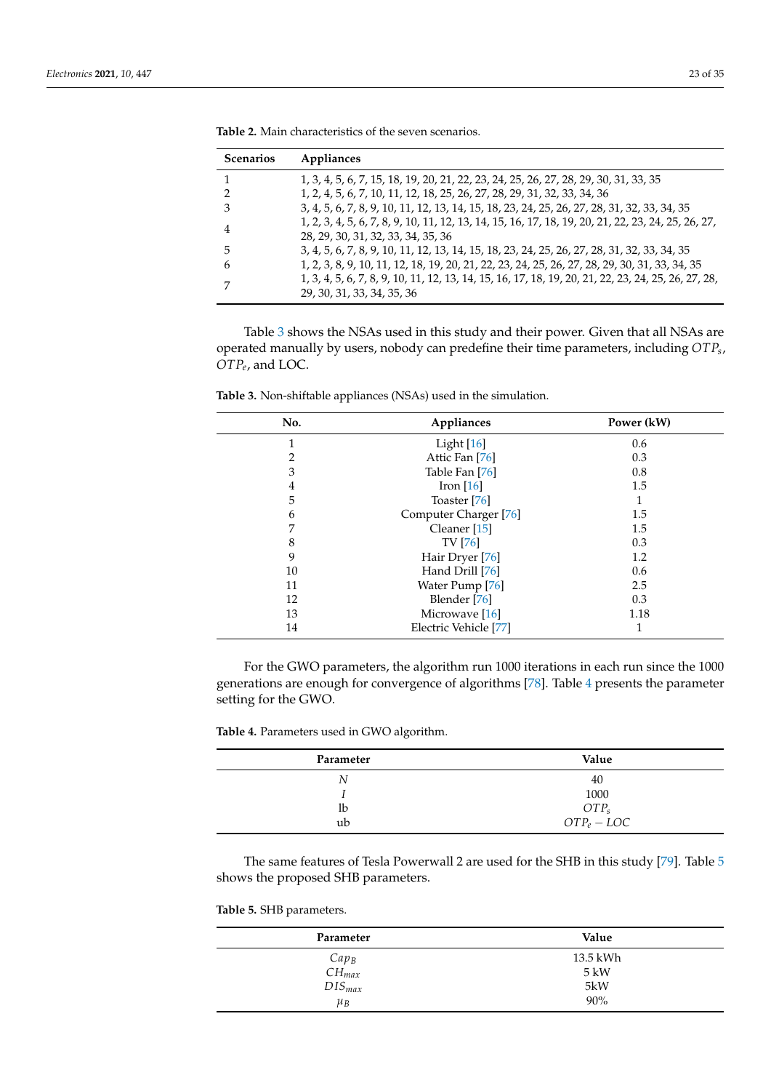| <b>Scenarios</b> | Appliances                                                                                                                               |
|------------------|------------------------------------------------------------------------------------------------------------------------------------------|
|                  | 1, 3, 4, 5, 6, 7, 15, 18, 19, 20, 21, 22, 23, 24, 25, 26, 27, 28, 29, 30, 31, 33, 35                                                     |
|                  | 1, 2, 4, 5, 6, 7, 10, 11, 12, 18, 25, 26, 27, 28, 29, 31, 32, 33, 34, 36                                                                 |
|                  | 3, 4, 5, 6, 7, 8, 9, 10, 11, 12, 13, 14, 15, 18, 23, 24, 25, 26, 27, 28, 31, 32, 33, 34, 35                                              |
| 4                | 1, 2, 3, 4, 5, 6, 7, 8, 9, 10, 11, 12, 13, 14, 15, 16, 17, 18, 19, 20, 21, 22, 23, 24, 25, 26, 27,<br>28, 29, 30, 31, 32, 33, 34, 35, 36 |
| 5                | 3, 4, 5, 6, 7, 8, 9, 10, 11, 12, 13, 14, 15, 18, 23, 24, 25, 26, 27, 28, 31, 32, 33, 34, 35                                              |
| h                | 1, 2, 3, 8, 9, 10, 11, 12, 18, 19, 20, 21, 22, 23, 24, 25, 26, 27, 28, 29, 30, 31, 33, 34, 35                                            |
|                  | 1, 3, 4, 5, 6, 7, 8, 9, 10, 11, 12, 13, 14, 15, 16, 17, 18, 19, 20, 21, 22, 23, 24, 25, 26, 27, 28,<br>29, 30, 31, 33, 34, 35, 36        |

| <b>Table 2.</b> Main characteristics of the seven scenarios. |  |
|--------------------------------------------------------------|--|
|--------------------------------------------------------------|--|

Table 3 shows the NSAs used in this study and their power. Given that all NSAs are operated manually by users, nobody can predefine their time parameters, including *OTPs* , *OTPe* , and LOC.

**Table 3.** Non-shiftable appliances (NSAs) used in the simulation.

| No.            | Appliances              | Power (kW) |
|----------------|-------------------------|------------|
| 1              | Light $[16]$            | 0.6        |
| $\overline{2}$ | Attic Fan [76]          | 0.3        |
| 3              | Table Fan [76]          | 0.8        |
| 4              | Iron $[16]$             | 1.5        |
| 5              | Toaster [76]            |            |
| 6              | Computer Charger [76]   | 1.5        |
| 7              | Cleaner <sup>[15]</sup> | 1.5        |
| 8              | <b>TV</b> [76]          | 0.3        |
| 9              | Hair Dryer [76]         | 1.2        |
| 10             | Hand Drill [76]         | 0.6        |
| 11             | Water Pump [76]         | 2.5        |
| 12             | Blender [76]            | 0.3        |
| 13             | Microwave [16]          | 1.18       |
| 14             | Electric Vehicle [77]   | 1          |

For the GWO parameters, the algorithm run 1000 iterations in each run since the 1000 generations are enough for convergence of algorithms [78]. Table 4 presents the parameter setting for the GWO.

**Table 4.** Parameters used in GWO algorithm.

| Parameter | Value            |  |  |
|-----------|------------------|--|--|
| N         | 40               |  |  |
|           | 1000             |  |  |
| lb        | OTP <sub>s</sub> |  |  |
| ub        | $OTP_e - LOC$    |  |  |

The same features of Tesla Powerwall 2 are used for the SHB in this study [79]. Table 5 shows the proposed SHB parameters.

# **Table 5.** SHB parameters.

| Parameter   | Value    |
|-------------|----------|
| $Cap_B$     | 13.5 kWh |
| $CH_{max}$  | 5 kW     |
| $DIS_{max}$ | 5kW      |
| $\mu_B$     | 90%      |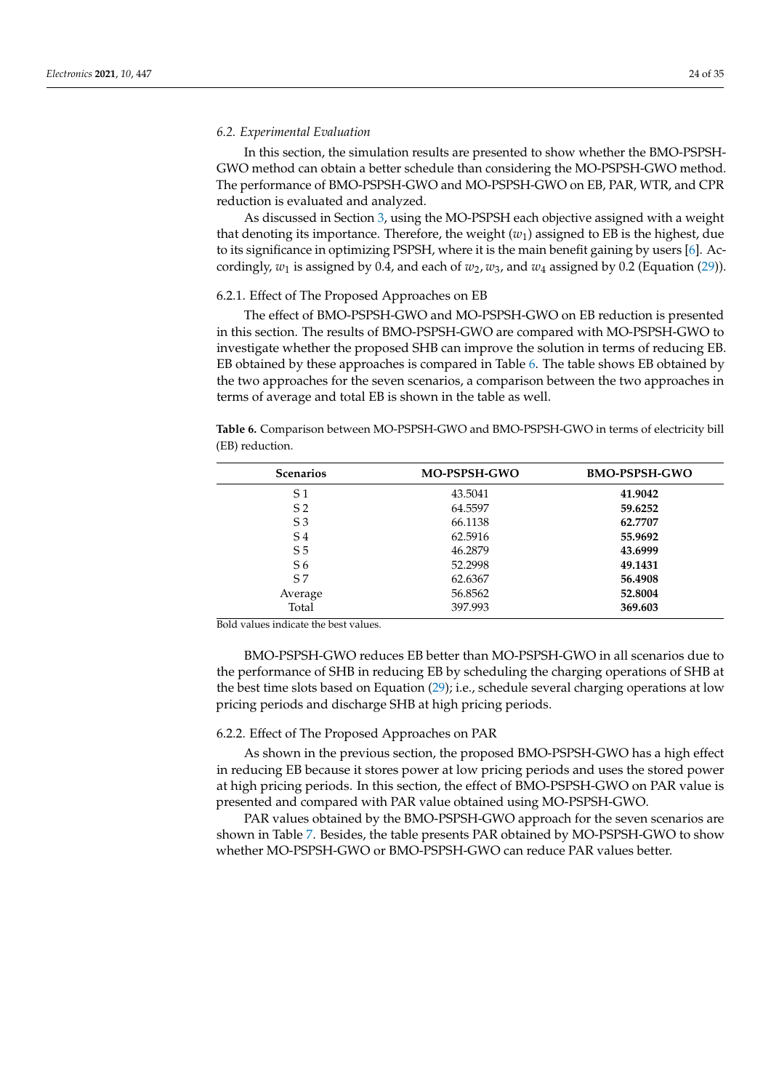#### *6.2. Experimental Evaluation*

In this section, the simulation results are presented to show whether the BMO-PSPSH-GWO method can obtain a better schedule than considering the MO-PSPSH-GWO method. The performance of BMO-PSPSH-GWO and MO-PSPSH-GWO on EB, PAR, WTR, and CPR reduction is evaluated and analyzed.

As discussed in Section 3, using the MO-PSPSH each objective assigned with a weight that denoting its importance. Therefore, the weight  $(w<sub>1</sub>)$  assigned to EB is the highest, due to its significance in optimizing PSPSH, where it is the main benefit gaining by users [6]. Accordingly,  $w_1$  is assigned by 0.4, and each of  $w_2$ ,  $w_3$ , and  $w_4$  assigned by 0.2 (Equation (29)).

#### 6.2.1. Effect of The Proposed Approaches on EB

The effect of BMO-PSPSH-GWO and MO-PSPSH-GWO on EB reduction is presented in this section. The results of BMO-PSPSH-GWO are compared with MO-PSPSH-GWO to investigate whether the proposed SHB can improve the solution in terms of reducing EB. EB obtained by these approaches is compared in Table 6. The table shows EB obtained by the two approaches for the seven scenarios, a comparison between the two approaches in terms of average and total EB is shown in the table as well.

**Table 6.** Comparison between MO-PSPSH-GWO and BMO-PSPSH-GWO in terms of electricity bill (EB) reduction.

| <b>Scenarios</b> | <b>MO-PSPSH-GWO</b> | <b>BMO-PSPSH-GWO</b> |
|------------------|---------------------|----------------------|
| S 1              | 43.5041             | 41.9042              |
| S <sub>2</sub>   | 64.5597             | 59.6252              |
| S <sub>3</sub>   | 66.1138             | 62.7707              |
| S <sub>4</sub>   | 62.5916             | 55.9692              |
| S <sub>5</sub>   | 46.2879             | 43.6999              |
| S <sub>6</sub>   | 52.2998             | 49.1431              |
| S <sub>7</sub>   | 62.6367             | 56.4908              |
| Average          | 56.8562             | 52.8004              |
| Total            | 397.993             | 369.603              |

Bold values indicate the best values.

BMO-PSPSH-GWO reduces EB better than MO-PSPSH-GWO in all scenarios due to the performance of SHB in reducing EB by scheduling the charging operations of SHB at the best time slots based on Equation (29); i.e., schedule several charging operations at low pricing periods and discharge SHB at high pricing periods.

#### 6.2.2. Effect of The Proposed Approaches on PAR

As shown in the previous section, the proposed BMO-PSPSH-GWO has a high effect in reducing EB because it stores power at low pricing periods and uses the stored power at high pricing periods. In this section, the effect of BMO-PSPSH-GWO on PAR value is presented and compared with PAR value obtained using MO-PSPSH-GWO.

PAR values obtained by the BMO-PSPSH-GWO approach for the seven scenarios are shown in Table 7. Besides, the table presents PAR obtained by MO-PSPSH-GWO to show whether MO-PSPSH-GWO or BMO-PSPSH-GWO can reduce PAR values better.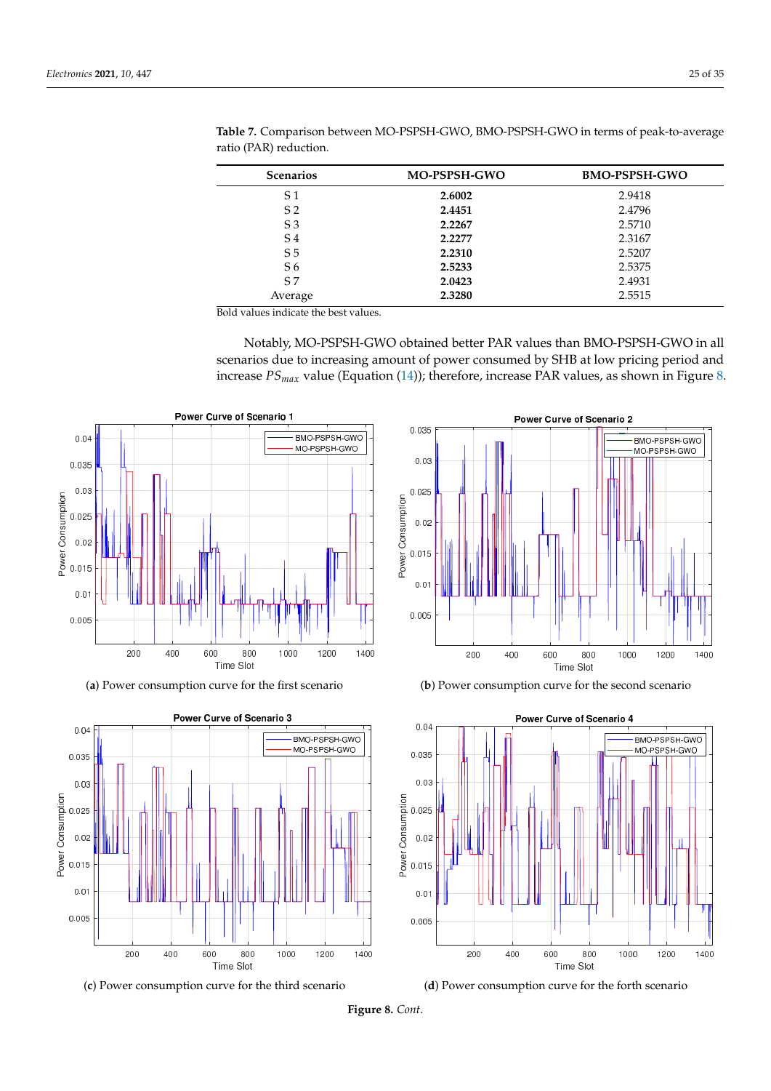| <b>Scenarios</b> | <b>MO-PSPSH-GWO</b> | <b>BMO-PSPSH-GWO</b> |
|------------------|---------------------|----------------------|
| S 1              | 2.6002              | 2.9418               |
| S <sub>2</sub>   | 2.4451              | 2.4796               |
| S <sub>3</sub>   | 2.2267              | 2.5710               |
| S <sub>4</sub>   | 2.2277              | 2.3167               |
| S <sub>5</sub>   | 2.2310              | 2.5207               |
| S <sub>6</sub>   | 2.5233              | 2.5375               |
| S <sub>7</sub>   | 2.0423              | 2.4931               |
| Average          | 2.3280              | 2.5515               |
|                  |                     |                      |

**Table 7.** Comparison between MO-PSPSH-GWO, BMO-PSPSH-GWO in terms of peak-to-average ratio (PAR) reduction.

Bold values indicate the best values.

Notably, MO-PSPSH-GWO obtained better PAR values than BMO-PSPSH-GWO in all scenarios due to increasing amount of power consumed by SHB at low pricing period and increase *PSmax* value (Equation (14)); therefore, increase PAR values, as shown in Figure 8.

![](_page_24_Figure_5.jpeg)

(**a**) Power consumption curve for the first scenario

![](_page_24_Figure_7.jpeg)

![](_page_24_Figure_8.jpeg)

![](_page_24_Figure_9.jpeg)

(**b**) Power consumption curve for the second scenario

![](_page_24_Figure_11.jpeg)

(**d**) Power consumption curve for the forth scenario

**Figure 8.** *Cont*.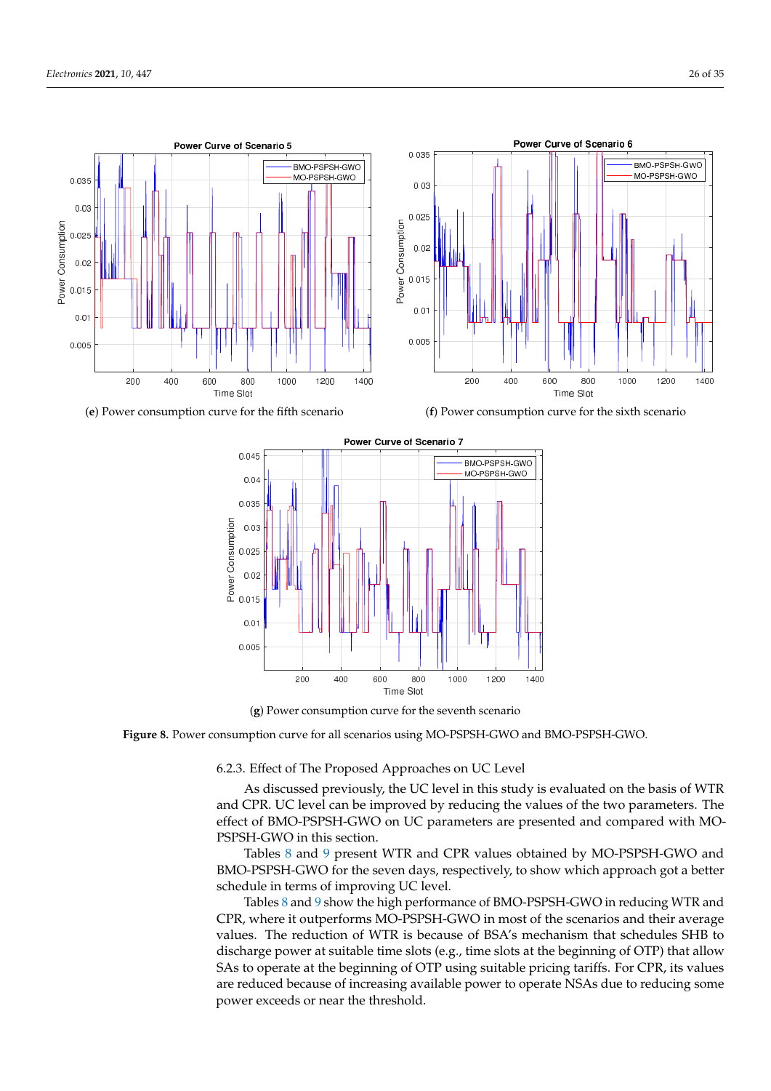![](_page_25_Figure_1.jpeg)

(**e**) Power consumption curve for the fifth scenario

![](_page_25_Figure_3.jpeg)

![](_page_25_Figure_4.jpeg)

(**g**) Power consumption curve for the seventh scenario

**Figure 8.** Power consumption curve for all scenarios using MO-PSPSH-GWO and BMO-PSPSH-GWO.

6.2.3. Effect of The Proposed Approaches on UC Level

As discussed previously, the UC level in this study is evaluated on the basis of WTR and CPR. UC level can be improved by reducing the values of the two parameters. The effect of BMO-PSPSH-GWO on UC parameters are presented and compared with MO-PSPSH-GWO in this section.

Tables 8 and 9 present WTR and CPR values obtained by MO-PSPSH-GWO and BMO-PSPSH-GWO for the seven days, respectively, to show which approach got a better schedule in terms of improving UC level.

Tables 8 and 9 show the high performance of BMO-PSPSH-GWO in reducing WTR and CPR, where it outperforms MO-PSPSH-GWO in most of the scenarios and their average values. The reduction of WTR is because of BSA's mechanism that schedules SHB to discharge power at suitable time slots (e.g., time slots at the beginning of OTP) that allow SAs to operate at the beginning of OTP using suitable pricing tariffs. For CPR, its values are reduced because of increasing available power to operate NSAs due to reducing some power exceeds or near the threshold.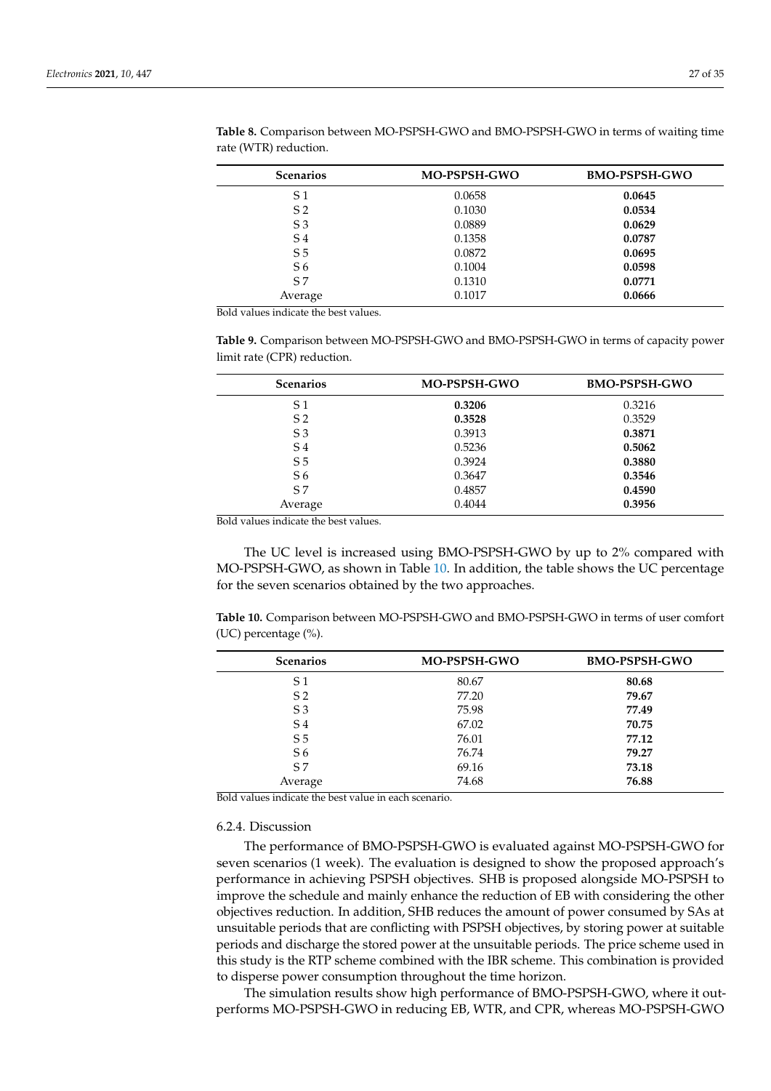| <b>Scenarios</b> | <b>MO-PSPSH-GWO</b> | <b>BMO-PSPSH-GWO</b> |
|------------------|---------------------|----------------------|
| S <sub>1</sub>   | 0.0658              | 0.0645               |
| S <sub>2</sub>   | 0.1030              | 0.0534               |
| S <sub>3</sub>   | 0.0889              | 0.0629               |
| S <sub>4</sub>   | 0.1358              | 0.0787               |
| S <sub>5</sub>   | 0.0872              | 0.0695               |
| S <sub>6</sub>   | 0.1004              | 0.0598               |
| S <sub>7</sub>   | 0.1310              | 0.0771               |
| Average          | 0.1017              | 0.0666               |

**Table 8.** Comparison between MO-PSPSH-GWO and BMO-PSPSH-GWO in terms of waiting time rate (WTR) reduction.

Bold values indicate the best values.

**Table 9.** Comparison between MO-PSPSH-GWO and BMO-PSPSH-GWO in terms of capacity power limit rate (CPR) reduction.

| <b>Scenarios</b> | <b>MO-PSPSH-GWO</b> | <b>BMO-PSPSH-GWO</b> |
|------------------|---------------------|----------------------|
| S 1              | 0.3206              | 0.3216               |
| S <sub>2</sub>   | 0.3528              | 0.3529               |
| S <sub>3</sub>   | 0.3913              | 0.3871               |
| S <sub>4</sub>   | 0.5236              | 0.5062               |
| S <sub>5</sub>   | 0.3924              | 0.3880               |
| S <sub>6</sub>   | 0.3647              | 0.3546               |
| S <sub>7</sub>   | 0.4857              | 0.4590               |
| Average          | 0.4044              | 0.3956               |

Bold values indicate the best values.

The UC level is increased using BMO-PSPSH-GWO by up to 2% compared with MO-PSPSH-GWO, as shown in Table 10. In addition, the table shows the UC percentage for the seven scenarios obtained by the two approaches.

**Table 10.** Comparison between MO-PSPSH-GWO and BMO-PSPSH-GWO in terms of user comfort (UC) percentage (%).

| <b>Scenarios</b> | <b>MO-PSPSH-GWO</b> | <b>BMO-PSPSH-GWO</b> |
|------------------|---------------------|----------------------|
| S 1              | 80.67               | 80.68                |
| S <sub>2</sub>   | 77.20               | 79.67                |
| S <sub>3</sub>   | 75.98               | 77.49                |
| S <sub>4</sub>   | 67.02               | 70.75                |
| S <sub>5</sub>   | 76.01               | 77.12                |
| S <sub>6</sub>   | 76.74               | 79.27                |
| S <sub>7</sub>   | 69.16               | 73.18                |
| Average          | 74.68               | 76.88                |

Bold values indicate the best value in each scenario.

# 6.2.4. Discussion

The performance of BMO-PSPSH-GWO is evaluated against MO-PSPSH-GWO for seven scenarios (1 week). The evaluation is designed to show the proposed approach's performance in achieving PSPSH objectives. SHB is proposed alongside MO-PSPSH to improve the schedule and mainly enhance the reduction of EB with considering the other objectives reduction. In addition, SHB reduces the amount of power consumed by SAs at unsuitable periods that are conflicting with PSPSH objectives, by storing power at suitable periods and discharge the stored power at the unsuitable periods. The price scheme used in this study is the RTP scheme combined with the IBR scheme. This combination is provided to disperse power consumption throughout the time horizon.

The simulation results show high performance of BMO-PSPSH-GWO, where it outperforms MO-PSPSH-GWO in reducing EB, WTR, and CPR, whereas MO-PSPSH-GWO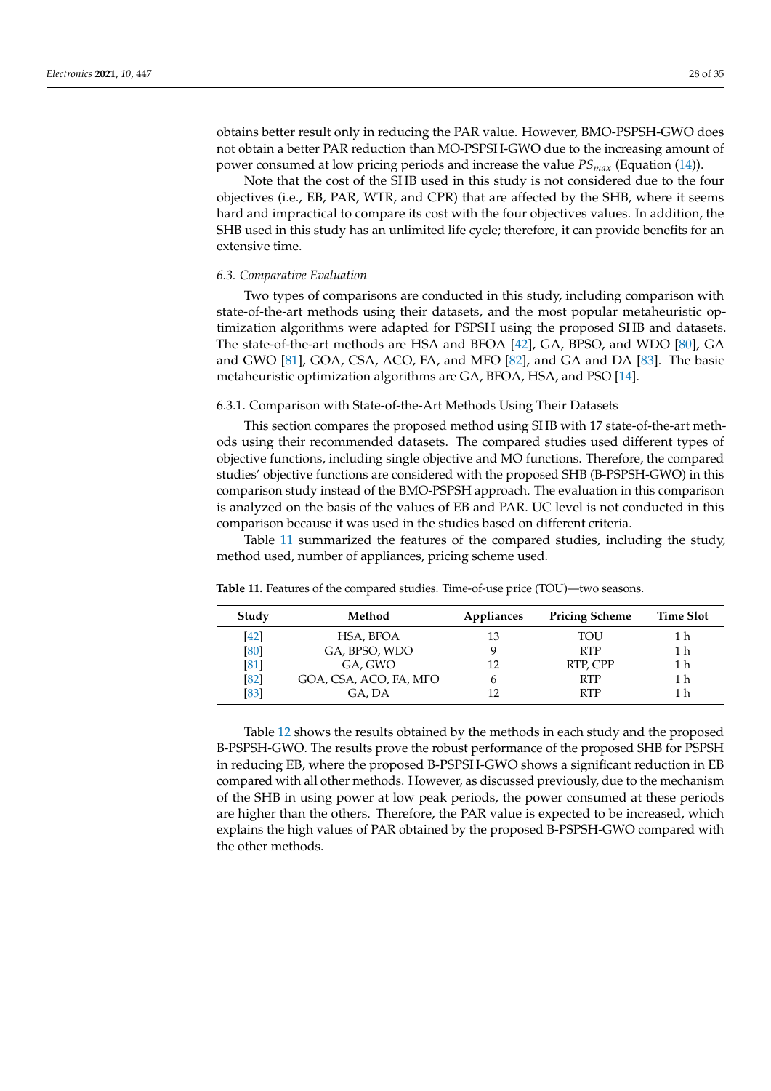obtains better result only in reducing the PAR value. However, BMO-PSPSH-GWO does not obtain a better PAR reduction than MO-PSPSH-GWO due to the increasing amount of power consumed at low pricing periods and increase the value *PSmax* (Equation (14)).

Note that the cost of the SHB used in this study is not considered due to the four objectives (i.e., EB, PAR, WTR, and CPR) that are affected by the SHB, where it seems hard and impractical to compare its cost with the four objectives values. In addition, the SHB used in this study has an unlimited life cycle; therefore, it can provide benefits for an extensive time.

#### *6.3. Comparative Evaluation*

Two types of comparisons are conducted in this study, including comparison with state-of-the-art methods using their datasets, and the most popular metaheuristic optimization algorithms were adapted for PSPSH using the proposed SHB and datasets. The state-of-the-art methods are HSA and BFOA [42], GA, BPSO, and WDO [80], GA and GWO [81], GOA, CSA, ACO, FA, and MFO [82], and GA and DA [83]. The basic metaheuristic optimization algorithms are GA, BFOA, HSA, and PSO [14].

6.3.1. Comparison with State-of-the-Art Methods Using Their Datasets

This section compares the proposed method using SHB with 17 state-of-the-art methods using their recommended datasets. The compared studies used different types of objective functions, including single objective and MO functions. Therefore, the compared studies' objective functions are considered with the proposed SHB (B-PSPSH-GWO) in this comparison study instead of the BMO-PSPSH approach. The evaluation in this comparison is analyzed on the basis of the values of EB and PAR. UC level is not conducted in this comparison because it was used in the studies based on different criteria.

Table 11 summarized the features of the compared studies, including the study, method used, number of appliances, pricing scheme used.

| Study | Method                 | Appliances | <b>Pricing Scheme</b> | <b>Time Slot</b> |
|-------|------------------------|------------|-----------------------|------------------|
| [42]  | HSA, BFOA              | 13         | TOU                   | 1 h              |
| [80]  | GA, BPSO, WDO          |            | <b>RTP</b>            | 1 h              |
| [81]  | GA, GWO                |            | RTP, CPP              | 1 h              |
| [82]  | GOA, CSA, ACO, FA, MFO |            | <b>RTP</b>            | 1 h              |
| [83]  | GA, DA                 |            | <b>RTP</b>            | 1 h              |

**Table 11.** Features of the compared studies. Time-of-use price (TOU)—two seasons.

Table 12 shows the results obtained by the methods in each study and the proposed B-PSPSH-GWO. The results prove the robust performance of the proposed SHB for PSPSH in reducing EB, where the proposed B-PSPSH-GWO shows a significant reduction in EB compared with all other methods. However, as discussed previously, due to the mechanism of the SHB in using power at low peak periods, the power consumed at these periods are higher than the others. Therefore, the PAR value is expected to be increased, which explains the high values of PAR obtained by the proposed B-PSPSH-GWO compared with the other methods.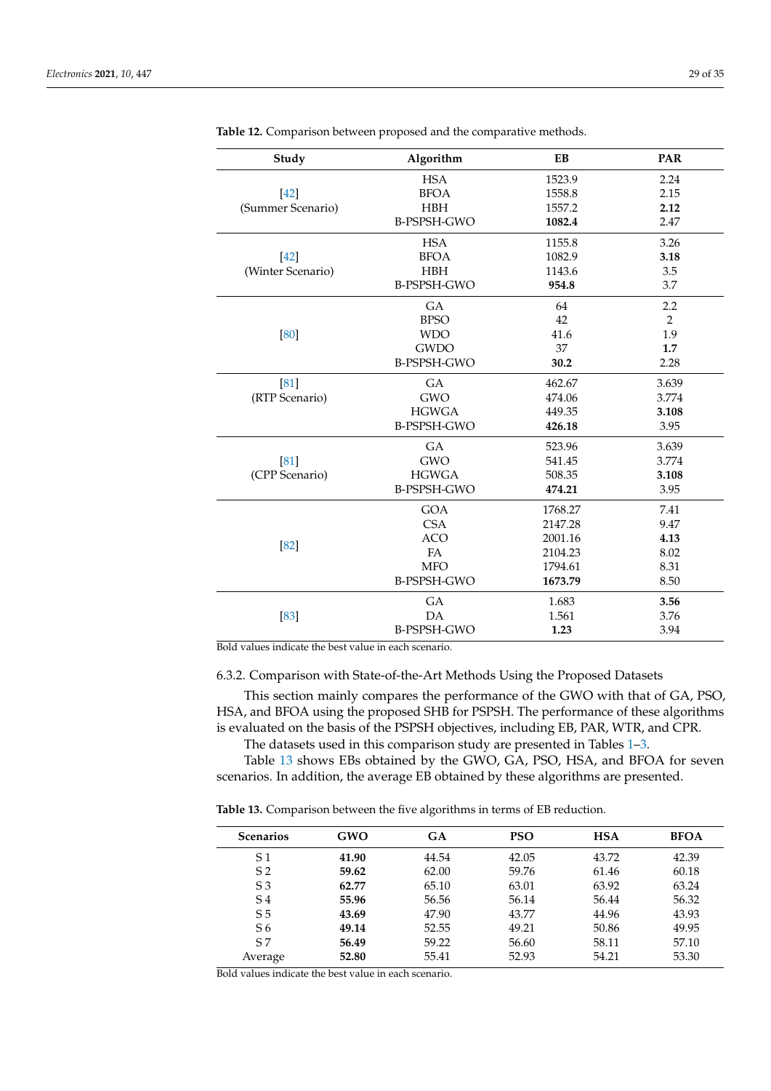| Study             | Algorithm          | EB      | <b>PAR</b>     |
|-------------------|--------------------|---------|----------------|
|                   | <b>HSA</b>         | 1523.9  | 2.24           |
| $[42]$            | <b>BFOA</b>        | 1558.8  | 2.15           |
| (Summer Scenario) | HBH                | 1557.2  | 2.12           |
|                   | <b>B-PSPSH-GWO</b> | 1082.4  | 2.47           |
|                   | <b>HSA</b>         | 1155.8  | 3.26           |
| [42]              | <b>BFOA</b>        | 1082.9  | 3.18           |
| (Winter Scenario) | <b>HBH</b>         | 1143.6  | 3.5            |
|                   | <b>B-PSPSH-GWO</b> | 954.8   | 3.7            |
|                   | GA                 | 64      | 2.2            |
|                   | <b>BPSO</b>        | 42      | $\overline{2}$ |
| [80]              | <b>WDO</b>         | 41.6    | 1.9            |
|                   | <b>GWDO</b>        | 37      | 1.7            |
|                   | <b>B-PSPSH-GWO</b> | 30.2    | 2.28           |
| [81]              | GA                 | 462.67  | 3.639          |
| (RTP Scenario)    | <b>GWO</b>         | 474.06  | 3.774          |
|                   | <b>HGWGA</b>       | 449.35  | 3.108          |
|                   | <b>B-PSPSH-GWO</b> | 426.18  | 3.95           |
|                   | GA                 | 523.96  | 3.639          |
| [81]              | <b>GWO</b>         | 541.45  | 3.774          |
| (CPP Scenario)    | <b>HGWGA</b>       | 508.35  | 3.108          |
|                   | <b>B-PSPSH-GWO</b> | 474.21  | 3.95           |
|                   | <b>GOA</b>         | 1768.27 | 7.41           |
|                   | <b>CSA</b>         | 2147.28 | 9.47           |
| [82]              | <b>ACO</b>         | 2001.16 | 4.13           |
|                   | <b>FA</b>          | 2104.23 | 8.02           |
|                   | <b>MFO</b>         | 1794.61 | 8.31           |
|                   | <b>B-PSPSH-GWO</b> | 1673.79 | 8.50           |
|                   | GA                 | 1.683   | 3.56           |
| [83]              | DA                 | 1.561   | 3.76           |
|                   | <b>B-PSPSH-GWO</b> | 1.23    | 3.94           |

**Table 12.** Comparison between proposed and the comparative methods.

Bold values indicate the best value in each scenario.

6.3.2. Comparison with State-of-the-Art Methods Using the Proposed Datasets

This section mainly compares the performance of the GWO with that of GA, PSO, HSA, and BFOA using the proposed SHB for PSPSH. The performance of these algorithms is evaluated on the basis of the PSPSH objectives, including EB, PAR, WTR, and CPR. The datasets used in this comparison study are presented in Tables 1–3.

Table 13 shows EBs obtained by the GWO, GA, PSO, HSA, and BFOA for seven scenarios. In addition, the average EB obtained by these algorithms are presented.

**Table 13.** Comparison between the five algorithms in terms of EB reduction.

| <b>Scenarios</b> | GWO   | <b>GA</b> | <b>PSO</b> | <b>HSA</b> | <b>BFOA</b> |
|------------------|-------|-----------|------------|------------|-------------|
| S 1              | 41.90 | 44.54     | 42.05      | 43.72      | 42.39       |
| S <sub>2</sub>   | 59.62 | 62.00     | 59.76      | 61.46      | 60.18       |
| S <sub>3</sub>   | 62.77 | 65.10     | 63.01      | 63.92      | 63.24       |
| S <sub>4</sub>   | 55.96 | 56.56     | 56.14      | 56.44      | 56.32       |
| S <sub>5</sub>   | 43.69 | 47.90     | 43.77      | 44.96      | 43.93       |
| S6               | 49.14 | 52.55     | 49.21      | 50.86      | 49.95       |
| S7               | 56.49 | 59.22     | 56.60      | 58.11      | 57.10       |
| Average          | 52.80 | 55.41     | 52.93      | 54.21      | 53.30       |
|                  |       |           |            |            |             |

Bold values indicate the best value in each scenario.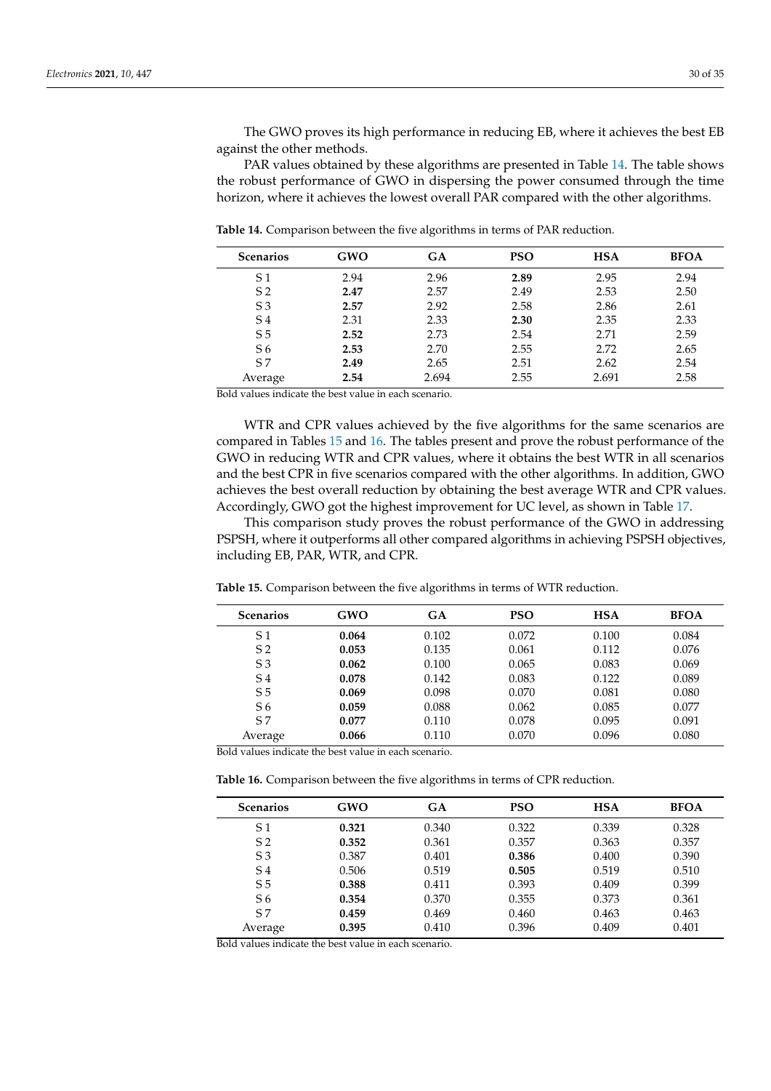The GWO proves its high performance in reducing EB, where it achieves the best EB against the other methods.

PAR values obtained by these algorithms are presented in Table 14. The table shows the robust performance of GWO in dispersing the power consumed through the time horizon, where it achieves the lowest overall PAR compared with the other algorithms.

**Table 14.** Comparison between the five algorithms in terms of PAR reduction.

| <b>Scenarios</b> | <b>GWO</b> | GA    | <b>PSO</b> | <b>HSA</b> | <b>BFOA</b> |
|------------------|------------|-------|------------|------------|-------------|
| S 1              | 2.94       | 2.96  | 2.89       | 2.95       | 2.94        |
| S <sub>2</sub>   | 2.47       | 2.57  | 2.49       | 2.53       | 2.50        |
| S <sub>3</sub>   | 2.57       | 2.92  | 2.58       | 2.86       | 2.61        |
| S <sub>4</sub>   | 2.31       | 2.33  | 2.30       | 2.35       | 2.33        |
| S <sub>5</sub>   | 2.52       | 2.73  | 2.54       | 2.71       | 2.59        |
| S <sub>6</sub>   | 2.53       | 2.70  | 2.55       | 2.72       | 2.65        |
| S7               | 2.49       | 2.65  | 2.51       | 2.62       | 2.54        |
| Average          | 2.54       | 2.694 | 2.55       | 2.691      | 2.58        |

Bold values indicate the best value in each scenario.

WTR and CPR values achieved by the five algorithms for the same scenarios are compared in Tables 15 and 16. The tables present and prove the robust performance of the GWO in reducing WTR and CPR values, where it obtains the best WTR in all scenarios and the best CPR in five scenarios compared with the other algorithms. In addition, GWO achieves the best overall reduction by obtaining the best average WTR and CPR values. Accordingly, GWO got the highest improvement for UC level, as shown in Table 17.

This comparison study proves the robust performance of the GWO in addressing PSPSH, where it outperforms all other compared algorithms in achieving PSPSH objectives, including EB, PAR, WTR, and CPR.

| <b>Scenarios</b> | <b>GWO</b> | GA    | <b>PSO</b> | <b>HSA</b> | <b>BFOA</b> |
|------------------|------------|-------|------------|------------|-------------|
| S 1              | 0.064      | 0.102 | 0.072      | 0.100      | 0.084       |
| S <sub>2</sub>   | 0.053      | 0.135 | 0.061      | 0.112      | 0.076       |
| S3               | 0.062      | 0.100 | 0.065      | 0.083      | 0.069       |
| S <sub>4</sub>   | 0.078      | 0.142 | 0.083      | 0.122      | 0.089       |
| S <sub>5</sub>   | 0.069      | 0.098 | 0.070      | 0.081      | 0.080       |
| S6               | 0.059      | 0.088 | 0.062      | 0.085      | 0.077       |
| S7               | 0.077      | 0.110 | 0.078      | 0.095      | 0.091       |
| Average          | 0.066      | 0.110 | 0.070      | 0.096      | 0.080       |

**Table 15.** Comparison between the five algorithms in terms of WTR reduction.

Bold values indicate the best value in each scenario.

**Table 16.** Comparison between the five algorithms in terms of CPR reduction.

| <b>Scenarios</b> | GWO   | GA    | <b>PSO</b> | <b>HSA</b> | <b>BFOA</b> |
|------------------|-------|-------|------------|------------|-------------|
| S 1              | 0.321 | 0.340 | 0.322      | 0.339      | 0.328       |
| S <sub>2</sub>   | 0.352 | 0.361 | 0.357      | 0.363      | 0.357       |
| S <sub>3</sub>   | 0.387 | 0.401 | 0.386      | 0.400      | 0.390       |
| S4               | 0.506 | 0.519 | 0.505      | 0.519      | 0.510       |
| S <sub>5</sub>   | 0.388 | 0.411 | 0.393      | 0.409      | 0.399       |
| S6               | 0.354 | 0.370 | 0.355      | 0.373      | 0.361       |
| S7               | 0.459 | 0.469 | 0.460      | 0.463      | 0.463       |
| Average          | 0.395 | 0.410 | 0.396      | 0.409      | 0.401       |
|                  |       |       |            |            |             |

Bold values indicate the best value in each scenario.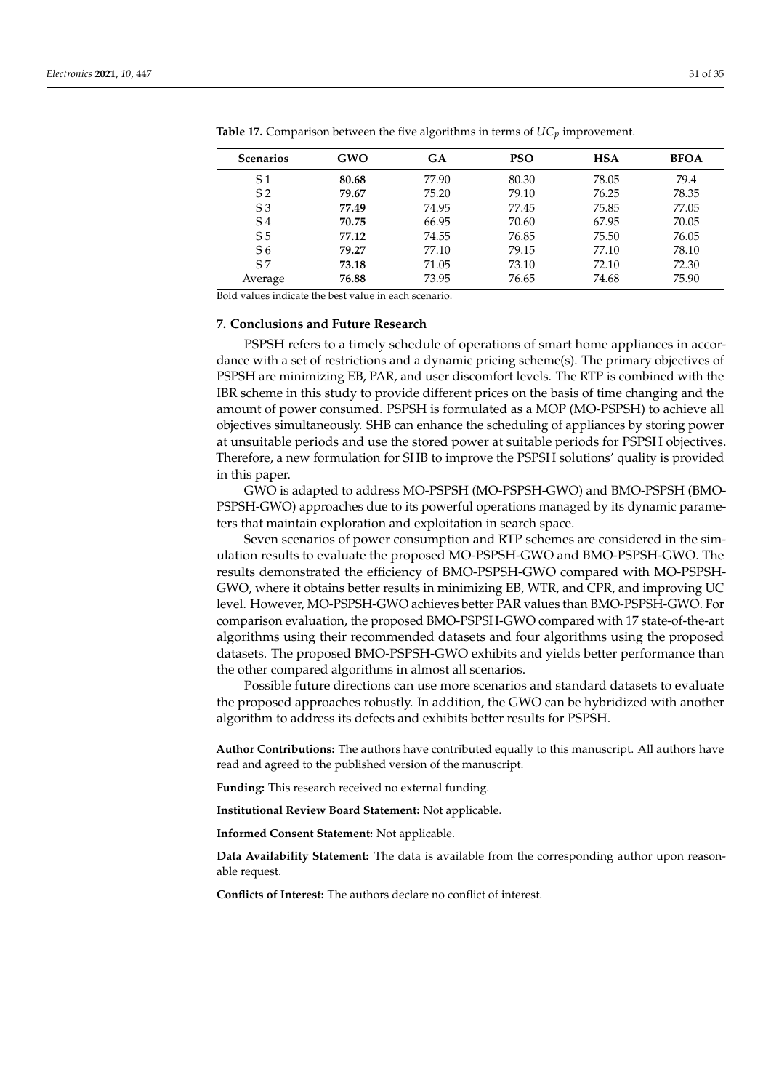| <b>Scenarios</b> | GWO   | <b>GA</b> | <b>PSO</b> | <b>HSA</b> | <b>BFOA</b> |
|------------------|-------|-----------|------------|------------|-------------|
| S 1              | 80.68 | 77.90     | 80.30      | 78.05      | 79.4        |
| S <sub>2</sub>   | 79.67 | 75.20     | 79.10      | 76.25      | 78.35       |
| S <sub>3</sub>   | 77.49 | 74.95     | 77.45      | 75.85      | 77.05       |
| S <sub>4</sub>   | 70.75 | 66.95     | 70.60      | 67.95      | 70.05       |
| S <sub>5</sub>   | 77.12 | 74.55     | 76.85      | 75.50      | 76.05       |
| S6               | 79.27 | 77.10     | 79.15      | 77.10      | 78.10       |
| S <sub>7</sub>   | 73.18 | 71.05     | 73.10      | 72.10      | 72.30       |
| Average          | 76.88 | 73.95     | 76.65      | 74.68      | 75.90       |

**Table 17.** Comparison between the five algorithms in terms of *UCp* improvement.

Bold values indicate the best value in each scenario.

# **7. Conclusions and Future Research**

PSPSH refers to a timely schedule of operations of smart home appliances in accordance with a set of restrictions and a dynamic pricing scheme(s). The primary objectives of PSPSH are minimizing EB, PAR, and user discomfort levels. The RTP is combined with the IBR scheme in this study to provide different prices on the basis of time changing and the amount of power consumed. PSPSH is formulated as a MOP (MO-PSPSH) to achieve all objectives simultaneously. SHB can enhance the scheduling of appliances by storing power at unsuitable periods and use the stored power at suitable periods for PSPSH objectives. Therefore, a new formulation for SHB to improve the PSPSH solutions' quality is provided in this paper.

GWO is adapted to address MO-PSPSH (MO-PSPSH-GWO) and BMO-PSPSH (BMO-PSPSH-GWO) approaches due to its powerful operations managed by its dynamic parameters that maintain exploration and exploitation in search space.

Seven scenarios of power consumption and RTP schemes are considered in the simulation results to evaluate the proposed MO-PSPSH-GWO and BMO-PSPSH-GWO. The results demonstrated the efficiency of BMO-PSPSH-GWO compared with MO-PSPSH-GWO, where it obtains better results in minimizing EB, WTR, and CPR, and improving UC level. However, MO-PSPSH-GWO achieves better PAR values than BMO-PSPSH-GWO. For comparison evaluation, the proposed BMO-PSPSH-GWO compared with 17 state-of-the-art algorithms using their recommended datasets and four algorithms using the proposed datasets. The proposed BMO-PSPSH-GWO exhibits and yields better performance than the other compared algorithms in almost all scenarios.

Possible future directions can use more scenarios and standard datasets to evaluate the proposed approaches robustly. In addition, the GWO can be hybridized with another algorithm to address its defects and exhibits better results for PSPSH.

**Author Contributions:** The authors have contributed equally to this manuscript. All authors have read and agreed to the published version of the manuscript.

**Funding:** This research received no external funding.

**Institutional Review Board Statement:** Not applicable.

**Informed Consent Statement:** Not applicable.

**Data Availability Statement:** The data is available from the corresponding author upon reasonable request.

**Conflicts of Interest:** The authors declare no conflict of interest.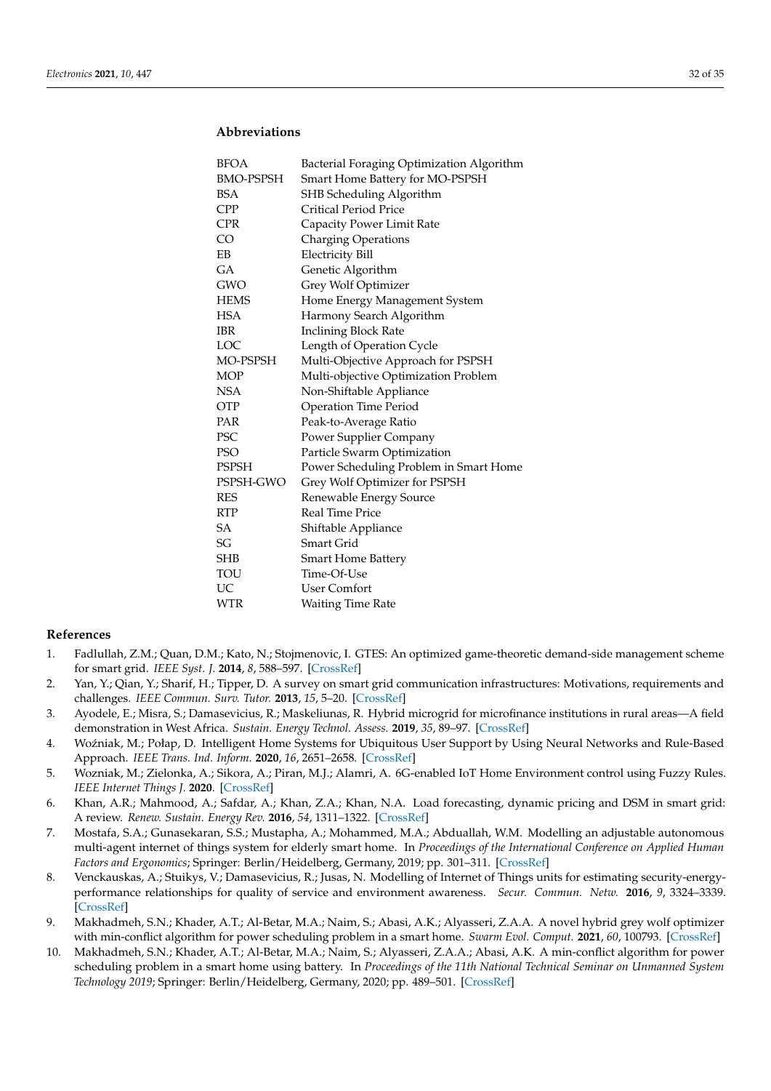# **Abbreviations**

| <b>BFOA</b>      | Bacterial Foraging Optimization Algorithm |
|------------------|-------------------------------------------|
| <b>BMO-PSPSH</b> | Smart Home Battery for MO-PSPSH           |
| <b>BSA</b>       | SHB Scheduling Algorithm                  |
| <b>CPP</b>       | <b>Critical Period Price</b>              |
| <b>CPR</b>       | Capacity Power Limit Rate                 |
| CO <sub></sub>   | <b>Charging Operations</b>                |
| EΒ               | <b>Electricity Bill</b>                   |
| GA               | Genetic Algorithm                         |
| <b>GWO</b>       | Grey Wolf Optimizer                       |
| <b>HEMS</b>      | Home Energy Management System             |
| <b>HSA</b>       | Harmony Search Algorithm                  |
| <b>IBR</b>       | <b>Inclining Block Rate</b>               |
| LOC              | Length of Operation Cycle                 |
| MO-PSPSH         | Multi-Objective Approach for PSPSH        |
| <b>MOP</b>       | Multi-objective Optimization Problem      |
| NSA              | Non-Shiftable Appliance                   |
| <b>OTP</b>       | <b>Operation Time Period</b>              |
| <b>PAR</b>       | Peak-to-Average Ratio                     |
| PSC              | Power Supplier Company                    |
| <b>PSO</b>       | Particle Swarm Optimization               |
| <b>PSPSH</b>     | Power Scheduling Problem in Smart Home    |
| PSPSH-GWO        | Grey Wolf Optimizer for PSPSH             |
| <b>RES</b>       | Renewable Energy Source                   |
| <b>RTP</b>       | <b>Real Time Price</b>                    |
| SА               | Shiftable Appliance                       |
| SG               | Smart Grid                                |
| <b>SHB</b>       | <b>Smart Home Battery</b>                 |
| TOU              | Time-Of-Use                               |
| UC               | User Comfort                              |
| <b>WTR</b>       | <b>Waiting Time Rate</b>                  |

#### **References**

- 1. Fadlullah, Z.M.; Quan, D.M.; Kato, N.; Stojmenovic, I. GTES: An optimized game-theoretic demand-side management scheme for smart grid. *IEEE Syst. J.* **2014**, *8*, 588–597. [CrossRef]
- 2. Yan, Y.; Qian, Y.; Sharif, H.; Tipper, D. A survey on smart grid communication infrastructures: Motivations, requirements and challenges. *IEEE Commun. Surv. Tutor.* **2013**, *15*, 5–20. [CrossRef]
- 3. Ayodele, E.; Misra, S.; Damasevicius, R.; Maskeliunas, R. Hybrid microgrid for microfinance institutions in rural areas—A field demonstration in West Africa. *Sustain. Energy Technol. Assess.* **2019**, *35*, 89–97. [CrossRef]
- 4. Woźniak, M.; Połap, D. Intelligent Home Systems for Ubiquitous User Support by Using Neural Networks and Rule-Based Approach. *IEEE Trans. Ind. Inform.* **2020**, *16*, 2651–2658. [CrossRef]
- 5. Wozniak, M.; Zielonka, A.; Sikora, A.; Piran, M.J.; Alamri, A. 6G-enabled IoT Home Environment control using Fuzzy Rules. *IEEE Internet Things J.* **2020**. [CrossRef]
- 6. Khan, A.R.; Mahmood, A.; Safdar, A.; Khan, Z.A.; Khan, N.A. Load forecasting, dynamic pricing and DSM in smart grid: A review. *Renew. Sustain. Energy Rev.* **2016**, *54*, 1311–1322. [CrossRef]
- 7. Mostafa, S.A.; Gunasekaran, S.S.; Mustapha, A.; Mohammed, M.A.; Abduallah, W.M. Modelling an adjustable autonomous multi-agent internet of things system for elderly smart home. In *Proceedings of the International Conference on Applied Human Factors and Ergonomics*; Springer: Berlin/Heidelberg, Germany, 2019; pp. 301–311. [CrossRef]
- 8. Venckauskas, A.; Stuikys, V.; Damasevicius, R.; Jusas, N. Modelling of Internet of Things units for estimating security-energyperformance relationships for quality of service and environment awareness. *Secur. Commun. Netw.* **2016**, *9*, 3324–3339. [CrossRef]
- 9. Makhadmeh, S.N.; Khader, A.T.; Al-Betar, M.A.; Naim, S.; Abasi, A.K.; Alyasseri, Z.A.A. A novel hybrid grey wolf optimizer with min-conflict algorithm for power scheduling problem in a smart home. *Swarm Evol. Comput.* **2021**, *60*, 100793. [CrossRef]
- 10. Makhadmeh, S.N.; Khader, A.T.; Al-Betar, M.A.; Naim, S.; Alyasseri, Z.A.A.; Abasi, A.K. A min-conflict algorithm for power scheduling problem in a smart home using battery. In *Proceedings of the 11th National Technical Seminar on Unmanned System Technology 2019*; Springer: Berlin/Heidelberg, Germany, 2020; pp. 489–501. [CrossRef]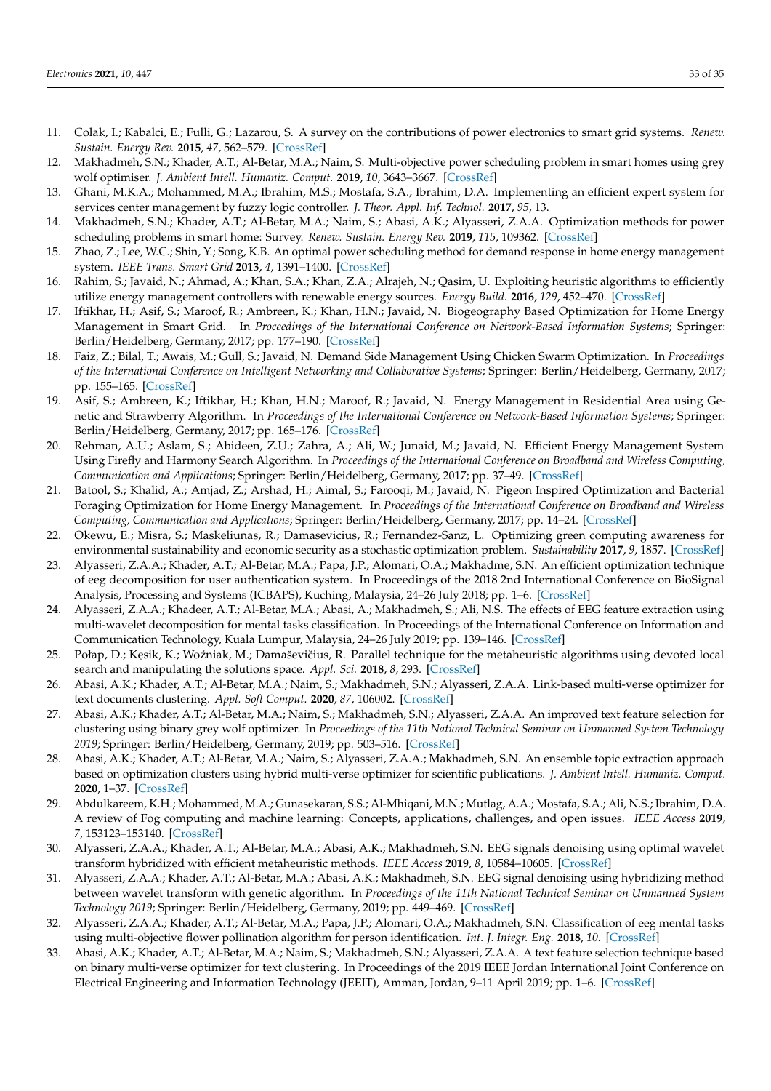- 11. Colak, I.; Kabalci, E.; Fulli, G.; Lazarou, S. A survey on the contributions of power electronics to smart grid systems. *Renew. Sustain. Energy Rev.* **2015**, *47*, 562–579. [CrossRef]
- 12. Makhadmeh, S.N.; Khader, A.T.; Al-Betar, M.A.; Naim, S. Multi-objective power scheduling problem in smart homes using grey wolf optimiser. *J. Ambient Intell. Humaniz. Comput.* **2019**, *10*, 3643–3667. [CrossRef]
- 13. Ghani, M.K.A.; Mohammed, M.A.; Ibrahim, M.S.; Mostafa, S.A.; Ibrahim, D.A. Implementing an efficient expert system for services center management by fuzzy logic controller. *J. Theor. Appl. Inf. Technol.* **2017**, *95*, 13.
- 14. Makhadmeh, S.N.; Khader, A.T.; Al-Betar, M.A.; Naim, S.; Abasi, A.K.; Alyasseri, Z.A.A. Optimization methods for power scheduling problems in smart home: Survey. *Renew. Sustain. Energy Rev.* **2019**, *115*, 109362. [CrossRef]
- 15. Zhao, Z.; Lee, W.C.; Shin, Y.; Song, K.B. An optimal power scheduling method for demand response in home energy management system. *IEEE Trans. Smart Grid* **2013**, *4*, 1391–1400. [CrossRef]
- 16. Rahim, S.; Javaid, N.; Ahmad, A.; Khan, S.A.; Khan, Z.A.; Alrajeh, N.; Qasim, U. Exploiting heuristic algorithms to efficiently utilize energy management controllers with renewable energy sources. *Energy Build.* **2016**, *129*, 452–470. [CrossRef]
- 17. Iftikhar, H.; Asif, S.; Maroof, R.; Ambreen, K.; Khan, H.N.; Javaid, N. Biogeography Based Optimization for Home Energy Management in Smart Grid. In *Proceedings of the International Conference on Network-Based Information Systems*; Springer: Berlin/Heidelberg, Germany, 2017; pp. 177–190. [CrossRef]
- 18. Faiz, Z.; Bilal, T.; Awais, M.; Gull, S.; Javaid, N. Demand Side Management Using Chicken Swarm Optimization. In *Proceedings of the International Conference on Intelligent Networking and Collaborative Systems*; Springer: Berlin/Heidelberg, Germany, 2017; pp. 155–165. [CrossRef]
- 19. Asif, S.; Ambreen, K.; Iftikhar, H.; Khan, H.N.; Maroof, R.; Javaid, N. Energy Management in Residential Area using Genetic and Strawberry Algorithm. In *Proceedings of the International Conference on Network-Based Information Systems*; Springer: Berlin/Heidelberg, Germany, 2017; pp. 165–176. [CrossRef]
- 20. Rehman, A.U.; Aslam, S.; Abideen, Z.U.; Zahra, A.; Ali, W.; Junaid, M.; Javaid, N. Efficient Energy Management System Using Firefly and Harmony Search Algorithm. In *Proceedings of the International Conference on Broadband and Wireless Computing, Communication and Applications*; Springer: Berlin/Heidelberg, Germany, 2017; pp. 37–49. [CrossRef]
- 21. Batool, S.; Khalid, A.; Amjad, Z.; Arshad, H.; Aimal, S.; Farooqi, M.; Javaid, N. Pigeon Inspired Optimization and Bacterial Foraging Optimization for Home Energy Management. In *Proceedings of the International Conference on Broadband and Wireless Computing, Communication and Applications*; Springer: Berlin/Heidelberg, Germany, 2017; pp. 14–24. [CrossRef]
- 22. Okewu, E.; Misra, S.; Maskeliunas, R.; Damasevicius, R.; Fernandez-Sanz, L. Optimizing green computing awareness for environmental sustainability and economic security as a stochastic optimization problem. *Sustainability* **2017**, *9*, 1857. [CrossRef]
- 23. Alyasseri, Z.A.A.; Khader, A.T.; Al-Betar, M.A.; Papa, J.P.; Alomari, O.A.; Makhadme, S.N. An efficient optimization technique of eeg decomposition for user authentication system. In Proceedings of the 2018 2nd International Conference on BioSignal Analysis, Processing and Systems (ICBAPS), Kuching, Malaysia, 24–26 July 2018; pp. 1–6. [CrossRef]
- 24. Alyasseri, Z.A.A.; Khadeer, A.T.; Al-Betar, M.A.; Abasi, A.; Makhadmeh, S.; Ali, N.S. The effects of EEG feature extraction using multi-wavelet decomposition for mental tasks classification. In Proceedings of the International Conference on Information and Communication Technology, Kuala Lumpur, Malaysia, 24–26 July 2019; pp. 139–146. [CrossRef]
- 25. Połap, D.; Kęsik, K.; Woźniak, M.; Damaševičius, R. Parallel technique for the metaheuristic algorithms using devoted local search and manipulating the solutions space. *Appl. Sci.* **2018**, *8*, 293. [CrossRef]
- 26. Abasi, A.K.; Khader, A.T.; Al-Betar, M.A.; Naim, S.; Makhadmeh, S.N.; Alyasseri, Z.A.A. Link-based multi-verse optimizer for text documents clustering. *Appl. Soft Comput.* **2020**, *87*, 106002. [CrossRef]
- 27. Abasi, A.K.; Khader, A.T.; Al-Betar, M.A.; Naim, S.; Makhadmeh, S.N.; Alyasseri, Z.A.A. An improved text feature selection for clustering using binary grey wolf optimizer. In *Proceedings of the 11th National Technical Seminar on Unmanned System Technology 2019*; Springer: Berlin/Heidelberg, Germany, 2019; pp. 503–516. [CrossRef]
- 28. Abasi, A.K.; Khader, A.T.; Al-Betar, M.A.; Naim, S.; Alyasseri, Z.A.A.; Makhadmeh, S.N. An ensemble topic extraction approach based on optimization clusters using hybrid multi-verse optimizer for scientific publications. *J. Ambient Intell. Humaniz. Comput.* **2020**, 1–37. [CrossRef]
- 29. Abdulkareem, K.H.; Mohammed, M.A.; Gunasekaran, S.S.; Al-Mhiqani, M.N.; Mutlag, A.A.; Mostafa, S.A.; Ali, N.S.; Ibrahim, D.A. A review of Fog computing and machine learning: Concepts, applications, challenges, and open issues. *IEEE Access* **2019**, *7*, 153123–153140. [CrossRef]
- 30. Alyasseri, Z.A.A.; Khader, A.T.; Al-Betar, M.A.; Abasi, A.K.; Makhadmeh, S.N. EEG signals denoising using optimal wavelet transform hybridized with efficient metaheuristic methods. *IEEE Access* **2019**, *8*, 10584–10605. [CrossRef]
- 31. Alyasseri, Z.A.A.; Khader, A.T.; Al-Betar, M.A.; Abasi, A.K.; Makhadmeh, S.N. EEG signal denoising using hybridizing method between wavelet transform with genetic algorithm. In *Proceedings of the 11th National Technical Seminar on Unmanned System Technology 2019*; Springer: Berlin/Heidelberg, Germany, 2019; pp. 449–469. [CrossRef]
- 32. Alyasseri, Z.A.A.; Khader, A.T.; Al-Betar, M.A.; Papa, J.P.; Alomari, O.A.; Makhadmeh, S.N. Classification of eeg mental tasks using multi-objective flower pollination algorithm for person identification. *Int. J. Integr. Eng.* **2018**, *10*. [CrossRef]
- 33. Abasi, A.K.; Khader, A.T.; Al-Betar, M.A.; Naim, S.; Makhadmeh, S.N.; Alyasseri, Z.A.A. A text feature selection technique based on binary multi-verse optimizer for text clustering. In Proceedings of the 2019 IEEE Jordan International Joint Conference on Electrical Engineering and Information Technology (JEEIT), Amman, Jordan, 9–11 April 2019; pp. 1–6. [CrossRef]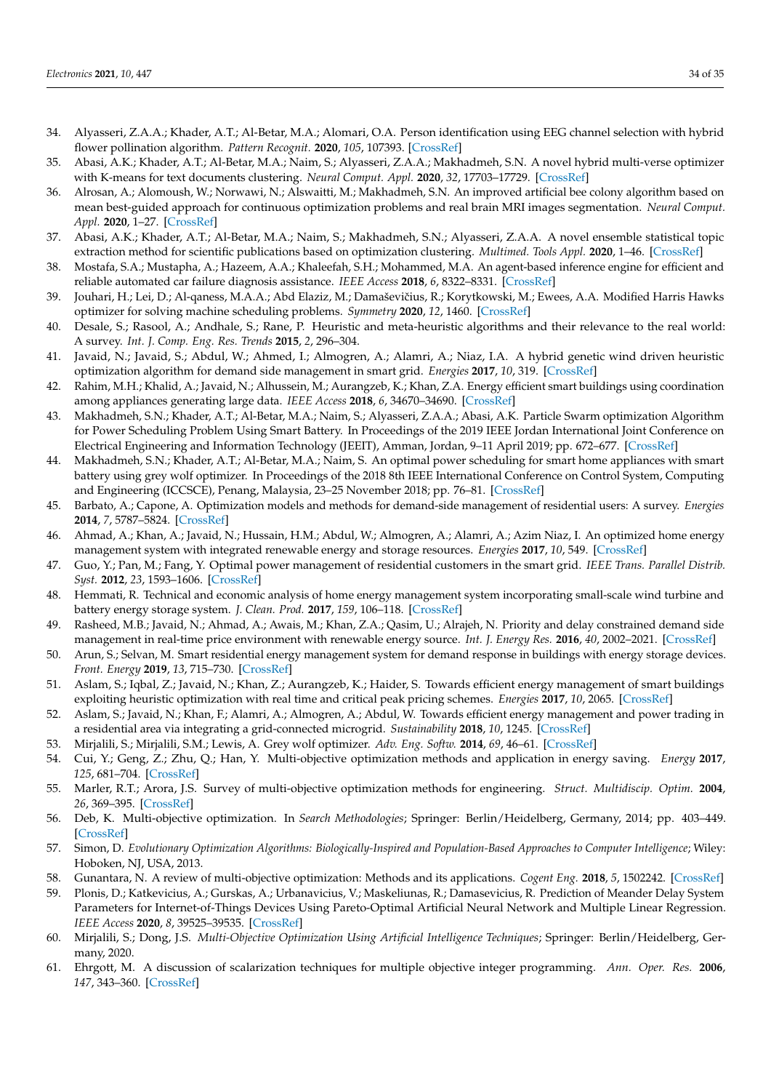- 34. Alyasseri, Z.A.A.; Khader, A.T.; Al-Betar, M.A.; Alomari, O.A. Person identification using EEG channel selection with hybrid flower pollination algorithm. *Pattern Recognit.* **2020**, *105*, 107393. [CrossRef]
- 35. Abasi, A.K.; Khader, A.T.; Al-Betar, M.A.; Naim, S.; Alyasseri, Z.A.A.; Makhadmeh, S.N. A novel hybrid multi-verse optimizer with K-means for text documents clustering. *Neural Comput. Appl.* **2020**, *32*, 17703–17729. [CrossRef]
- 36. Alrosan, A.; Alomoush, W.; Norwawi, N.; Alswaitti, M.; Makhadmeh, S.N. An improved artificial bee colony algorithm based on mean best-guided approach for continuous optimization problems and real brain MRI images segmentation. *Neural Comput. Appl.* **2020**, 1–27. [CrossRef]
- 37. Abasi, A.K.; Khader, A.T.; Al-Betar, M.A.; Naim, S.; Makhadmeh, S.N.; Alyasseri, Z.A.A. A novel ensemble statistical topic extraction method for scientific publications based on optimization clustering. *Multimed. Tools Appl.* **2020**, 1–46. [CrossRef]
- 38. Mostafa, S.A.; Mustapha, A.; Hazeem, A.A.; Khaleefah, S.H.; Mohammed, M.A. An agent-based inference engine for efficient and reliable automated car failure diagnosis assistance. *IEEE Access* **2018**, *6*, 8322–8331. [CrossRef]
- 39. Jouhari, H.; Lei, D.; Al-qaness, M.A.A.; Abd Elaziz, M.; Damaševičius, R.; Korytkowski, M.; Ewees, A.A. Modified Harris Hawks optimizer for solving machine scheduling problems. *Symmetry* **2020**, *12*, 1460. [CrossRef]
- 40. Desale, S.; Rasool, A.; Andhale, S.; Rane, P. Heuristic and meta-heuristic algorithms and their relevance to the real world: A survey. *Int. J. Comp. Eng. Res. Trends* **2015**, *2*, 296–304.
- 41. Javaid, N.; Javaid, S.; Abdul, W.; Ahmed, I.; Almogren, A.; Alamri, A.; Niaz, I.A. A hybrid genetic wind driven heuristic optimization algorithm for demand side management in smart grid. *Energies* **2017**, *10*, 319. [CrossRef]
- 42. Rahim, M.H.; Khalid, A.; Javaid, N.; Alhussein, M.; Aurangzeb, K.; Khan, Z.A. Energy efficient smart buildings using coordination among appliances generating large data. *IEEE Access* **2018**, *6*, 34670–34690. [CrossRef]
- 43. Makhadmeh, S.N.; Khader, A.T.; Al-Betar, M.A.; Naim, S.; Alyasseri, Z.A.A.; Abasi, A.K. Particle Swarm optimization Algorithm for Power Scheduling Problem Using Smart Battery. In Proceedings of the 2019 IEEE Jordan International Joint Conference on Electrical Engineering and Information Technology (JEEIT), Amman, Jordan, 9–11 April 2019; pp. 672–677. [CrossRef]
- 44. Makhadmeh, S.N.; Khader, A.T.; Al-Betar, M.A.; Naim, S. An optimal power scheduling for smart home appliances with smart battery using grey wolf optimizer. In Proceedings of the 2018 8th IEEE International Conference on Control System, Computing and Engineering (ICCSCE), Penang, Malaysia, 23–25 November 2018; pp. 76–81. [CrossRef]
- 45. Barbato, A.; Capone, A. Optimization models and methods for demand-side management of residential users: A survey. *Energies* **2014**, *7*, 5787–5824. [CrossRef]
- 46. Ahmad, A.; Khan, A.; Javaid, N.; Hussain, H.M.; Abdul, W.; Almogren, A.; Alamri, A.; Azim Niaz, I. An optimized home energy management system with integrated renewable energy and storage resources. *Energies* **2017**, *10*, 549. [CrossRef]
- 47. Guo, Y.; Pan, M.; Fang, Y. Optimal power management of residential customers in the smart grid. *IEEE Trans. Parallel Distrib. Syst.* **2012**, *23*, 1593–1606. [CrossRef]
- 48. Hemmati, R. Technical and economic analysis of home energy management system incorporating small-scale wind turbine and battery energy storage system. *J. Clean. Prod.* **2017**, *159*, 106–118. [CrossRef]
- 49. Rasheed, M.B.; Javaid, N.; Ahmad, A.; Awais, M.; Khan, Z.A.; Qasim, U.; Alrajeh, N. Priority and delay constrained demand side management in real-time price environment with renewable energy source. *Int. J. Energy Res.* **2016**, *40*, 2002–2021. [CrossRef]
- 50. Arun, S.; Selvan, M. Smart residential energy management system for demand response in buildings with energy storage devices. *Front. Energy* **2019**, *13*, 715–730. [CrossRef]
- 51. Aslam, S.; Iqbal, Z.; Javaid, N.; Khan, Z.; Aurangzeb, K.; Haider, S. Towards efficient energy management of smart buildings exploiting heuristic optimization with real time and critical peak pricing schemes. *Energies* **2017**, *10*, 2065. [CrossRef]
- 52. Aslam, S.; Javaid, N.; Khan, F.; Alamri, A.; Almogren, A.; Abdul, W. Towards efficient energy management and power trading in a residential area via integrating a grid-connected microgrid. *Sustainability* **2018**, *10*, 1245. [CrossRef]
- 53. Mirjalili, S.; Mirjalili, S.M.; Lewis, A. Grey wolf optimizer. *Adv. Eng. Softw.* **2014**, *69*, 46–61. [CrossRef]
- 54. Cui, Y.; Geng, Z.; Zhu, Q.; Han, Y. Multi-objective optimization methods and application in energy saving. *Energy* **2017**, *125*, 681–704. [CrossRef]
- 55. Marler, R.T.; Arora, J.S. Survey of multi-objective optimization methods for engineering. *Struct. Multidiscip. Optim.* **2004**, *26*, 369–395. [CrossRef]
- 56. Deb, K. Multi-objective optimization. In *Search Methodologies*; Springer: Berlin/Heidelberg, Germany, 2014; pp. 403–449. [CrossRef]
- 57. Simon, D. *Evolutionary Optimization Algorithms: Biologically-Inspired and Population-Based Approaches to Computer Intelligence*; Wiley: Hoboken, NJ, USA, 2013.
- 58. Gunantara, N. A review of multi-objective optimization: Methods and its applications. *Cogent Eng.* **2018**, *5*, 1502242. [CrossRef]
- 59. Plonis, D.; Katkevicius, A.; Gurskas, A.; Urbanavicius, V.; Maskeliunas, R.; Damasevicius, R. Prediction of Meander Delay System Parameters for Internet-of-Things Devices Using Pareto-Optimal Artificial Neural Network and Multiple Linear Regression. *IEEE Access* **2020**, *8*, 39525–39535. [CrossRef]
- 60. Mirjalili, S.; Dong, J.S. *Multi-Objective Optimization Using Artificial Intelligence Techniques*; Springer: Berlin/Heidelberg, Germany, 2020.
- 61. Ehrgott, M. A discussion of scalarization techniques for multiple objective integer programming. *Ann. Oper. Res.* **2006**, *147*, 343–360. [CrossRef]